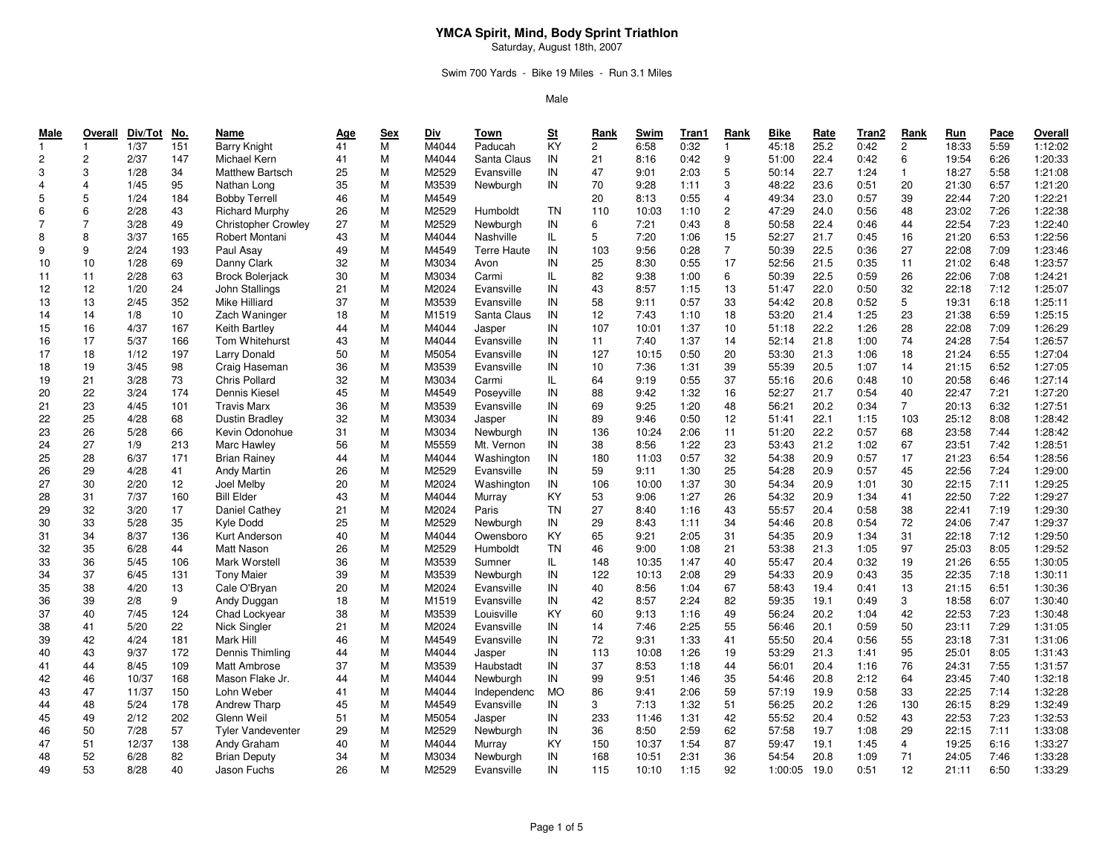Saturday, August 18th, 2007

## Swim 700 Yards - Bike 19 Miles - Run 3.1 Miles

| $\mathbf{1}$<br>1/37<br>151<br>41<br>Paducah<br>$\overline{2}$<br>0:42<br>$\overline{2}$<br>18:33<br><b>Barry Knight</b><br>$\mathbf{1}$<br>$\mathbf{1}$<br>1:20:33<br>$\overline{c}$<br>$\overline{2}$<br>2/37<br>147<br>41<br>M<br>M4044<br>Santa Claus<br>IN<br>21<br>0:42<br>9<br>51:00<br>22.4<br>0:42<br>6<br>19:54<br>6:26<br>Michael Kern<br>8:16<br>1:21:08<br>3<br>3<br>1/28<br>34<br>25<br>M<br>M2529<br>Evansville<br>IN<br>47<br>2:03<br>5<br>22.7<br>1:24<br>$\overline{1}$<br>18:27<br>5:58<br>Matthew Bartsch<br>9:01<br>50:14<br>$\overline{4}$<br>95<br>35<br>М<br>M3539<br>IN<br>70<br>3<br>23.6<br>20<br>6:57<br>1:21:20<br>$\overline{4}$<br>1/45<br>Nathan Long<br>9:28<br>1:11<br>48:22<br>0:51<br>21:30<br>Newburgh<br>$\,$ 5 $\,$<br>5<br>7:20<br>1:22:21<br>1/24<br>184<br><b>Bobby Terrell</b><br>46<br>М<br>M4549<br>20<br>8:13<br>0:55<br>4<br>49:34<br>23.0<br>0:57<br>39<br>22:44<br>6<br>2<br>1:22:38<br>6<br>2/28<br>43<br><b>Richard Murphy</b><br>26<br>М<br>M2529<br><b>TN</b><br>110<br>1:10<br>47:29<br>24.0<br>0:56<br>23:02<br>7:26<br>Humboldt<br>10:03<br>48<br>$\overline{7}$<br>1:22:40<br>$\overline{7}$<br>3/28<br>49<br>27<br>М<br>M2529<br>IN<br>6<br>0:43<br>8<br>22.4<br>22:54<br>7:23<br><b>Christopher Crowley</b><br>Newburgh<br>7:21<br>50:58<br>0:46<br>44<br>M4044<br>5<br>15<br>6:53<br>1:22:56<br>8<br>8<br>3/37<br>165<br>Robert Montani<br>43<br>М<br>Nashville<br>IL.<br>7:20<br>1:06<br>52:27<br>21.7<br>0:45<br>16<br>21:20<br>$\overline{7}$<br>1:23:46<br>9<br>9<br>2/24<br>193<br>49<br>м<br>M4549<br>IN<br>103<br>9:56<br>0:28<br>50:39<br>22.5<br>0:36<br>27<br>22:08<br>7:09<br>Paul Asay<br><b>Terre Haute</b><br>17<br>1:23:57<br>10<br>1/28<br>69<br>Danny Clark<br>32<br>М<br>M3034<br>IN<br>25<br>8:30<br>0:55<br>21.5<br>11<br>6:48<br>10<br>52:56<br>0:35<br>21:02<br>Avon<br>2/28<br>82<br>6<br>22.5<br>26<br>1:24:21<br>11<br>11<br>63<br><b>Brock Bolerjack</b><br>30<br>М<br>M3034<br>Carmi<br>IL.<br>9:38<br>1:00<br>50:39<br>0:59<br>22:06<br>7:08<br>12<br>13<br>1:25:07<br>12<br>1/20<br>24<br>John Stallings<br>21<br>M<br>M2024<br>IN<br>43<br>8:57<br>1:15<br>51:47<br>22.0<br>0:50<br>32<br>22:18<br>7:12<br>Evansville<br>1:25:11<br>13<br>2/45<br>352<br><b>Mike Hilliard</b><br>37<br>М<br>M3539<br>IN<br>58<br>0:57<br>33<br>20.8<br>0:52<br>5<br>19:31<br>6:18<br>13<br>Evansville<br>9:11<br>54:42<br>14<br>18<br>1:25<br>6:59<br>1:25:15<br>14<br>1/8<br>10<br>Zach Waninger<br>18<br>M<br>M1519<br>Santa Claus<br>IN<br>12<br>7:43<br>1:10<br>53:20<br>21.4<br>23<br>21:38<br>4/37<br>167<br>107<br>22.2<br>28<br>7:09<br>1:26:29<br>15<br>16<br>Keith Bartley<br>М<br>M4044<br>IN<br>10:01<br>1:37<br>10<br>51:18<br>1:26<br>22:08<br>44<br>Jasper<br>1:26:57<br>17<br>5/37<br>Tom Whitehurst<br>M<br>M4044<br>1:37<br>21.8<br>1:00<br>24:28<br>7:54<br>16<br>166<br>43<br>Evansville<br>IN<br>11<br>7:40<br>14<br>52:14<br>74<br>1:27:04<br>18<br>1/12<br>197<br>IN<br>127<br>0:50<br>18<br>6:55<br>17<br>Larry Donald<br>50<br>М<br>M5054<br>Evansville<br>10:15<br>20<br>53:30<br>21.3<br>1:06<br>21:24<br>19<br>3/45<br>6:52<br>1:27:05<br>98<br>Craig Haseman<br>36<br>М<br>M3539<br>Evansville<br>IN<br>10<br>7:36<br>1:31<br>39<br>55:39<br>20.5<br>1:07<br>14<br>21:15<br>18<br>1:27:14<br>21<br>3/28<br>73<br><b>Chris Pollard</b><br>32<br>M<br>M3034<br>0:55<br>37<br>20.6<br>10<br>6:46<br>19<br>Carmi<br>IL.<br>64<br>9:19<br>55:16<br>0:48<br>20:58<br>22<br>3/24<br>174<br>Dennis Kiesel<br>M4549<br>1:32<br>16<br>0:54<br>7:21<br>1:27:20<br>20<br>45<br>М<br>Poseyville<br>IN<br>88<br>9:42<br>52:27<br>21.7<br>40<br>22:47<br>1:27:51<br>23<br>4/45<br>101<br>M3539<br>IN<br>1:20<br>6:32<br><b>Travis Marx</b><br>36<br>М<br>Evansville<br>69<br>9:25<br>48<br>56:21<br>20.2<br>0:34<br>$\overline{7}$<br>20:13<br>21<br>1:28:42<br>25<br>4/28<br>68<br><b>Dustin Bradlev</b><br>32<br>M<br>M3034<br>IN<br>0:50<br>12<br>22.1<br>103<br>25:12<br>8:08<br>22<br>89<br>9:46<br>51:41<br>1:15<br>Jasper<br>26<br>5/28<br>66<br>Kevin Odonohue<br>M<br>M3034<br>136<br>2:06<br>11<br>22.2<br>7:44<br>1:28:42<br>23<br>31<br>Newburgh<br>IN<br>10:24<br>51:20<br>0:57<br>68<br>23:58<br>27<br>IN<br>1:22<br>7:42<br>1:28:51<br>1/9<br>213<br>Marc Hawley<br>56<br>М<br>M5559<br>Mt. Vernon<br>38<br>8:56<br>23<br>53:43<br>21.2<br>1:02<br>67<br>23:51<br>24<br>0:57<br>6:54<br>1:28:56<br>25<br>28<br>6/37<br>171<br><b>Brian Rainey</b><br>М<br>M4044<br>IN<br>180<br>32<br>54:38<br>20.9<br>0:57<br>17<br>21:23<br>44<br>Washington<br>11:03<br>29<br>4/28<br><b>Andy Martin</b><br>M<br>M2529<br>1:30<br>25<br>54:28<br>20.9<br>0:57<br>22:56<br>7:24<br>1:29:00<br>26<br>41<br>26<br>Evansville<br>IN<br>59<br>9:11<br>45<br>30<br>2/20<br>M2024<br>IN<br>30<br>7:11<br>1:29:25<br>27<br>12<br>Joel Melby<br>20<br>М<br>106<br>10:00<br>1:37<br>54:34<br>20.9<br>1:01<br>30<br>22:15<br>Washington<br><b>Bill Elder</b><br>1:29:27<br>31<br>7/37<br>160<br>43<br>М<br>M4044<br>KY<br>53<br>9:06<br>1:27<br>26<br>54:32<br>20.9<br>1:34<br>22:50<br>7:22<br>28<br>Murray<br>41<br>1:29:30<br>32<br>3/20<br>17<br>Daniel Cathey<br>M<br>M2024<br><b>TN</b><br>27<br>1:16<br>43<br>55:57<br>20.4<br>0:58<br>38<br>22:41<br>7:19<br>29<br>21<br>Paris<br>8:40<br>33<br>5/28<br>M2529<br>34<br>7:47<br>1:29:37<br>30<br>35<br>Kyle Dodd<br>25<br>М<br>IN<br>29<br>8:43<br>1:11<br>54:46<br>20.8<br>0:54<br>72<br>24:06<br>Newburgh<br>34<br>8/37<br>136<br>M4044<br>KY<br>65<br>7:12<br>1:29:50<br>Kurt Anderson<br>40<br>М<br>9:21<br>2:05<br>31<br>54:35<br>20.9<br>1:34<br>31<br>22:18<br>31<br>Owensboro<br>8:05<br>1:29:52<br>35<br>6/28<br>44<br><b>Matt Nason</b><br>26<br>M<br>M2529<br><b>TN</b><br>46<br>9:00<br>1:08<br>21<br>53:38<br>21.3<br>1:05<br>97<br>25:03<br>32<br>Humboldt<br>1:30:05<br>36<br>5/45<br>M3539<br>1:47<br>40<br>6:55<br>33<br>106<br>Mark Worstell<br>36<br>м<br>Sumner<br>IL.<br>148<br>10:35<br>55:47<br>20.4<br>0:32<br>19<br>21:26<br>37<br>1:30:11<br>6/45<br>131<br><b>Tony Maier</b><br>39<br>М<br>M3539<br>IN<br>122<br>10:13<br>2:08<br>29<br>54:33<br>20.9<br>0:43<br>35<br>22:35<br>7:18<br>34<br>Newburgh<br>67<br>6:51<br>1:30:36<br>35<br>38<br>4/20<br>13<br>Cale O'Bryan<br>20<br>М<br>M2024<br>IN<br>40<br>8:56<br>1:04<br>58:43<br>19.4<br>0:41<br>13<br>21:15<br>Evansville<br>2/8<br>M1519<br>6:07<br>1:30:40<br>36<br>39<br>9<br>Andy Duggan<br>18<br>М<br>Evansville<br>IN<br>42<br>8:57<br>2:24<br>82<br>59:35<br>19.1<br>0:49<br>3<br>18:58<br>40<br>7/45<br>124<br>M3539<br>KY<br>49<br>7:23<br>1:30:48<br>37<br>Chad Lockyear<br>38<br>М<br>Louisville<br>60<br>9:13<br>1:16<br>56:24<br>20.2<br>1:04<br>42<br>22:53<br>7:29<br>1:31:05<br>41<br>5/20<br>22<br>Nick Singler<br>М<br>M2024<br>2:25<br>55<br>0:59<br>38<br>21<br>Evansville<br>IN<br>14<br>7:46<br>56:46<br>20.1<br>50<br>23:11<br>1:31:06<br>42<br>4/24<br>181<br>Mark Hill<br>М<br>M4549<br>IN<br>72<br>41<br>0:56<br>55<br>7:31<br>39<br>46<br>Evansville<br>9:31<br>1:33<br>55:50<br>20.4<br>23:18<br>43<br>9/37<br>Dennis Thimling<br>М<br>8:05<br>1:31:43<br>172<br>44<br>M4044<br>IN<br>113<br>10:08<br>1:26<br>19<br>53:29<br>21.3<br>1:41<br>95<br>25:01<br>40<br>Jasper<br>44<br>109<br>37<br>7:55<br>1:31:57<br>8/45<br>37<br>М<br>M3539<br>IN<br>8:53<br>1:18<br>44<br>56:01<br>20.4<br>1:16<br>76<br>41<br><b>Matt Ambrose</b><br>Haubstadt<br>24:31<br>46<br>10/37<br>Mason Flake Jr.<br>M<br>M4044<br>IN<br>99<br>35<br>2:12<br>7:40<br>1:32:18<br>42<br>168<br>44<br>Newburgh<br>9:51<br>1:46<br>54:46<br>20.8<br>64<br>23:45<br>1:32:28<br>47<br>11/37<br>М<br>M4044<br>59<br>0:58<br>7:14<br>43<br>150<br>Lohn Weber<br>41<br>Independenc<br>MO<br>86<br>9:41<br>2:06<br>57:19<br>19.9<br>33<br>22:25<br>1:32:49<br>48<br>5/24<br>8:29<br>178<br>Andrew Tharp<br>М<br>M4549<br>IN<br>3<br>7:13<br>1:32<br>51<br>56:25<br>20.2<br>1:26<br>130<br>26:15<br>44<br>45<br>Evansville<br>42<br>0:52<br>1:32:53<br>49<br>2/12<br>202<br>Glenn Weil<br>51<br>M<br>M5054<br>IN<br>233<br>1:31<br>55:52<br>20.4<br>43<br>7:23<br>45<br>Jasper<br>11:46<br>22:53<br>50<br>7/28<br>57<br>M<br>M2529<br>62<br>7:11<br>1:33:08<br><b>Tyler Vandeventer</b><br>29<br>Newburgh<br>IN<br>36<br>8:50<br>2:59<br>57:58<br>19.7<br>1:08<br>29<br>22:15<br>46<br>51<br>12/37<br>138<br>KY<br>87<br>6:16<br>1:33:27<br>47<br>40<br>М<br>M4044<br>150<br>1:54<br>59:47<br>19.1<br>1:45<br>$\overline{4}$<br>19:25<br>Andy Graham<br>Murray<br>10:37<br>52<br>7:46<br>1:33:28<br>6/28<br>82<br>34<br>M<br>M3034<br>IN<br>2:31<br>36<br>20.8<br>1:09<br>71<br>24:05<br>48<br><b>Brian Deputy</b><br>Newburgh<br>168<br>10:51<br>54:54<br>IN<br>1:33:29<br>53<br>8/28<br>40<br>М<br>M2529<br>92<br>0:51<br>12<br>6:50<br>49<br>Jason Fuchs<br>26<br>Evansville<br>115<br>10:10<br>1:15<br>1:00:05<br>19.0<br>21:11 | Male | Overall | Div/Tot | <u>No.</u> | Name | <b>Age</b> | <b>Sex</b>     | Div   | Town | $\underline{\mathbf{St}}$ | Rank | Swim | Tran1 | Rank | <b>Bike</b> | Rate | Tran2 | Rank | Run | Pace | Overall |
|------------------------------------------------------------------------------------------------------------------------------------------------------------------------------------------------------------------------------------------------------------------------------------------------------------------------------------------------------------------------------------------------------------------------------------------------------------------------------------------------------------------------------------------------------------------------------------------------------------------------------------------------------------------------------------------------------------------------------------------------------------------------------------------------------------------------------------------------------------------------------------------------------------------------------------------------------------------------------------------------------------------------------------------------------------------------------------------------------------------------------------------------------------------------------------------------------------------------------------------------------------------------------------------------------------------------------------------------------------------------------------------------------------------------------------------------------------------------------------------------------------------------------------------------------------------------------------------------------------------------------------------------------------------------------------------------------------------------------------------------------------------------------------------------------------------------------------------------------------------------------------------------------------------------------------------------------------------------------------------------------------------------------------------------------------------------------------------------------------------------------------------------------------------------------------------------------------------------------------------------------------------------------------------------------------------------------------------------------------------------------------------------------------------------------------------------------------------------------------------------------------------------------------------------------------------------------------------------------------------------------------------------------------------------------------------------------------------------------------------------------------------------------------------------------------------------------------------------------------------------------------------------------------------------------------------------------------------------------------------------------------------------------------------------------------------------------------------------------------------------------------------------------------------------------------------------------------------------------------------------------------------------------------------------------------------------------------------------------------------------------------------------------------------------------------------------------------------------------------------------------------------------------------------------------------------------------------------------------------------------------------------------------------------------------------------------------------------------------------------------------------------------------------------------------------------------------------------------------------------------------------------------------------------------------------------------------------------------------------------------------------------------------------------------------------------------------------------------------------------------------------------------------------------------------------------------------------------------------------------------------------------------------------------------------------------------------------------------------------------------------------------------------------------------------------------------------------------------------------------------------------------------------------------------------------------------------------------------------------------------------------------------------------------------------------------------------------------------------------------------------------------------------------------------------------------------------------------------------------------------------------------------------------------------------------------------------------------------------------------------------------------------------------------------------------------------------------------------------------------------------------------------------------------------------------------------------------------------------------------------------------------------------------------------------------------------------------------------------------------------------------------------------------------------------------------------------------------------------------------------------------------------------------------------------------------------------------------------------------------------------------------------------------------------------------------------------------------------------------------------------------------------------------------------------------------------------------------------------------------------------------------------------------------------------------------------------------------------------------------------------------------------------------------------------------------------------------------------------------------------------------------------------------------------------------------------------------------------------------------------------------------------------------------------------------------------------------------------------------------------------------------------------------------------------------------------------------------------------------------------------------------------------------------------------------------------------------------------------------------------------------------------------------------------------------------------------------------------------------------------------------------------------------------------------------------------------------------------------------------------------------------------------------------------------------------------------------------------------------------------------------------------------------------------------------------------------------------------------------------------------------------------------------------------------------------------------------------------------------------------------------------------------------------------------------------------------------------------------------------------------------------------------------------------------------------------------------------------------------------------------------------------------------------------------------------------------------------------------------------------------------------------------------------------------------------------------------------------------------------------------------------------------------------------------------------------------------------------------------------------------------------------------------------------------------------------------------------------------------------------------------------------------------------------------------------------------------------------------------------------------------------------------------------------------------------------------------------------------------------------------------------------------------------------------------------------------------------------------------------------------------------------------------------------------------------------------------------------------------------------------------------------------------------------------------------------------------------------------------------------------------------------------------------------------------------------------------------------------------------------------------------------------------------------------------------------------------------------------|------|---------|---------|------------|------|------------|----------------|-------|------|---------------------------|------|------|-------|------|-------------|------|-------|------|-----|------|---------|
|                                                                                                                                                                                                                                                                                                                                                                                                                                                                                                                                                                                                                                                                                                                                                                                                                                                                                                                                                                                                                                                                                                                                                                                                                                                                                                                                                                                                                                                                                                                                                                                                                                                                                                                                                                                                                                                                                                                                                                                                                                                                                                                                                                                                                                                                                                                                                                                                                                                                                                                                                                                                                                                                                                                                                                                                                                                                                                                                                                                                                                                                                                                                                                                                                                                                                                                                                                                                                                                                                                                                                                                                                                                                                                                                                                                                                                                                                                                                                                                                                                                                                                                                                                                                                                                                                                                                                                                                                                                                                                                                                                                                                                                                                                                                                                                                                                                                                                                                                                                                                                                                                                                                                                                                                                                                                                                                                                                                                                                                                                                                                                                                                                                                                                                                                                                                                                                                                                                                                                                                                                                                                                                                                                                                                                                                                                                                                                                                                                                                                                                                                                                                                                                                                                                                                                                                                                                                                                                                                                                                                                                                                                                                                                                                                                                                                                                                                                                                                                                                                                                                                                                                                                                                                                                                                                                                                                                                                                                                                                                                                                                                                                                                                                                                                                                                                                                                                                                                                                                                                                                                                                                                                                                                                                                                                                                                                                                      |      |         |         |            |      |            | $\overline{M}$ | M4044 |      | KY                        |      | 6:58 | 0:32  |      | 45:18       | 25.2 |       |      |     | 5:59 | 1:12:02 |
|                                                                                                                                                                                                                                                                                                                                                                                                                                                                                                                                                                                                                                                                                                                                                                                                                                                                                                                                                                                                                                                                                                                                                                                                                                                                                                                                                                                                                                                                                                                                                                                                                                                                                                                                                                                                                                                                                                                                                                                                                                                                                                                                                                                                                                                                                                                                                                                                                                                                                                                                                                                                                                                                                                                                                                                                                                                                                                                                                                                                                                                                                                                                                                                                                                                                                                                                                                                                                                                                                                                                                                                                                                                                                                                                                                                                                                                                                                                                                                                                                                                                                                                                                                                                                                                                                                                                                                                                                                                                                                                                                                                                                                                                                                                                                                                                                                                                                                                                                                                                                                                                                                                                                                                                                                                                                                                                                                                                                                                                                                                                                                                                                                                                                                                                                                                                                                                                                                                                                                                                                                                                                                                                                                                                                                                                                                                                                                                                                                                                                                                                                                                                                                                                                                                                                                                                                                                                                                                                                                                                                                                                                                                                                                                                                                                                                                                                                                                                                                                                                                                                                                                                                                                                                                                                                                                                                                                                                                                                                                                                                                                                                                                                                                                                                                                                                                                                                                                                                                                                                                                                                                                                                                                                                                                                                                                                                                                      |      |         |         |            |      |            |                |       |      |                           |      |      |       |      |             |      |       |      |     |      |         |
|                                                                                                                                                                                                                                                                                                                                                                                                                                                                                                                                                                                                                                                                                                                                                                                                                                                                                                                                                                                                                                                                                                                                                                                                                                                                                                                                                                                                                                                                                                                                                                                                                                                                                                                                                                                                                                                                                                                                                                                                                                                                                                                                                                                                                                                                                                                                                                                                                                                                                                                                                                                                                                                                                                                                                                                                                                                                                                                                                                                                                                                                                                                                                                                                                                                                                                                                                                                                                                                                                                                                                                                                                                                                                                                                                                                                                                                                                                                                                                                                                                                                                                                                                                                                                                                                                                                                                                                                                                                                                                                                                                                                                                                                                                                                                                                                                                                                                                                                                                                                                                                                                                                                                                                                                                                                                                                                                                                                                                                                                                                                                                                                                                                                                                                                                                                                                                                                                                                                                                                                                                                                                                                                                                                                                                                                                                                                                                                                                                                                                                                                                                                                                                                                                                                                                                                                                                                                                                                                                                                                                                                                                                                                                                                                                                                                                                                                                                                                                                                                                                                                                                                                                                                                                                                                                                                                                                                                                                                                                                                                                                                                                                                                                                                                                                                                                                                                                                                                                                                                                                                                                                                                                                                                                                                                                                                                                                                      |      |         |         |            |      |            |                |       |      |                           |      |      |       |      |             |      |       |      |     |      |         |
|                                                                                                                                                                                                                                                                                                                                                                                                                                                                                                                                                                                                                                                                                                                                                                                                                                                                                                                                                                                                                                                                                                                                                                                                                                                                                                                                                                                                                                                                                                                                                                                                                                                                                                                                                                                                                                                                                                                                                                                                                                                                                                                                                                                                                                                                                                                                                                                                                                                                                                                                                                                                                                                                                                                                                                                                                                                                                                                                                                                                                                                                                                                                                                                                                                                                                                                                                                                                                                                                                                                                                                                                                                                                                                                                                                                                                                                                                                                                                                                                                                                                                                                                                                                                                                                                                                                                                                                                                                                                                                                                                                                                                                                                                                                                                                                                                                                                                                                                                                                                                                                                                                                                                                                                                                                                                                                                                                                                                                                                                                                                                                                                                                                                                                                                                                                                                                                                                                                                                                                                                                                                                                                                                                                                                                                                                                                                                                                                                                                                                                                                                                                                                                                                                                                                                                                                                                                                                                                                                                                                                                                                                                                                                                                                                                                                                                                                                                                                                                                                                                                                                                                                                                                                                                                                                                                                                                                                                                                                                                                                                                                                                                                                                                                                                                                                                                                                                                                                                                                                                                                                                                                                                                                                                                                                                                                                                                                      |      |         |         |            |      |            |                |       |      |                           |      |      |       |      |             |      |       |      |     |      |         |
|                                                                                                                                                                                                                                                                                                                                                                                                                                                                                                                                                                                                                                                                                                                                                                                                                                                                                                                                                                                                                                                                                                                                                                                                                                                                                                                                                                                                                                                                                                                                                                                                                                                                                                                                                                                                                                                                                                                                                                                                                                                                                                                                                                                                                                                                                                                                                                                                                                                                                                                                                                                                                                                                                                                                                                                                                                                                                                                                                                                                                                                                                                                                                                                                                                                                                                                                                                                                                                                                                                                                                                                                                                                                                                                                                                                                                                                                                                                                                                                                                                                                                                                                                                                                                                                                                                                                                                                                                                                                                                                                                                                                                                                                                                                                                                                                                                                                                                                                                                                                                                                                                                                                                                                                                                                                                                                                                                                                                                                                                                                                                                                                                                                                                                                                                                                                                                                                                                                                                                                                                                                                                                                                                                                                                                                                                                                                                                                                                                                                                                                                                                                                                                                                                                                                                                                                                                                                                                                                                                                                                                                                                                                                                                                                                                                                                                                                                                                                                                                                                                                                                                                                                                                                                                                                                                                                                                                                                                                                                                                                                                                                                                                                                                                                                                                                                                                                                                                                                                                                                                                                                                                                                                                                                                                                                                                                                                                      |      |         |         |            |      |            |                |       |      |                           |      |      |       |      |             |      |       |      |     |      |         |
|                                                                                                                                                                                                                                                                                                                                                                                                                                                                                                                                                                                                                                                                                                                                                                                                                                                                                                                                                                                                                                                                                                                                                                                                                                                                                                                                                                                                                                                                                                                                                                                                                                                                                                                                                                                                                                                                                                                                                                                                                                                                                                                                                                                                                                                                                                                                                                                                                                                                                                                                                                                                                                                                                                                                                                                                                                                                                                                                                                                                                                                                                                                                                                                                                                                                                                                                                                                                                                                                                                                                                                                                                                                                                                                                                                                                                                                                                                                                                                                                                                                                                                                                                                                                                                                                                                                                                                                                                                                                                                                                                                                                                                                                                                                                                                                                                                                                                                                                                                                                                                                                                                                                                                                                                                                                                                                                                                                                                                                                                                                                                                                                                                                                                                                                                                                                                                                                                                                                                                                                                                                                                                                                                                                                                                                                                                                                                                                                                                                                                                                                                                                                                                                                                                                                                                                                                                                                                                                                                                                                                                                                                                                                                                                                                                                                                                                                                                                                                                                                                                                                                                                                                                                                                                                                                                                                                                                                                                                                                                                                                                                                                                                                                                                                                                                                                                                                                                                                                                                                                                                                                                                                                                                                                                                                                                                                                                                      |      |         |         |            |      |            |                |       |      |                           |      |      |       |      |             |      |       |      |     |      |         |
|                                                                                                                                                                                                                                                                                                                                                                                                                                                                                                                                                                                                                                                                                                                                                                                                                                                                                                                                                                                                                                                                                                                                                                                                                                                                                                                                                                                                                                                                                                                                                                                                                                                                                                                                                                                                                                                                                                                                                                                                                                                                                                                                                                                                                                                                                                                                                                                                                                                                                                                                                                                                                                                                                                                                                                                                                                                                                                                                                                                                                                                                                                                                                                                                                                                                                                                                                                                                                                                                                                                                                                                                                                                                                                                                                                                                                                                                                                                                                                                                                                                                                                                                                                                                                                                                                                                                                                                                                                                                                                                                                                                                                                                                                                                                                                                                                                                                                                                                                                                                                                                                                                                                                                                                                                                                                                                                                                                                                                                                                                                                                                                                                                                                                                                                                                                                                                                                                                                                                                                                                                                                                                                                                                                                                                                                                                                                                                                                                                                                                                                                                                                                                                                                                                                                                                                                                                                                                                                                                                                                                                                                                                                                                                                                                                                                                                                                                                                                                                                                                                                                                                                                                                                                                                                                                                                                                                                                                                                                                                                                                                                                                                                                                                                                                                                                                                                                                                                                                                                                                                                                                                                                                                                                                                                                                                                                                                                      |      |         |         |            |      |            |                |       |      |                           |      |      |       |      |             |      |       |      |     |      |         |
|                                                                                                                                                                                                                                                                                                                                                                                                                                                                                                                                                                                                                                                                                                                                                                                                                                                                                                                                                                                                                                                                                                                                                                                                                                                                                                                                                                                                                                                                                                                                                                                                                                                                                                                                                                                                                                                                                                                                                                                                                                                                                                                                                                                                                                                                                                                                                                                                                                                                                                                                                                                                                                                                                                                                                                                                                                                                                                                                                                                                                                                                                                                                                                                                                                                                                                                                                                                                                                                                                                                                                                                                                                                                                                                                                                                                                                                                                                                                                                                                                                                                                                                                                                                                                                                                                                                                                                                                                                                                                                                                                                                                                                                                                                                                                                                                                                                                                                                                                                                                                                                                                                                                                                                                                                                                                                                                                                                                                                                                                                                                                                                                                                                                                                                                                                                                                                                                                                                                                                                                                                                                                                                                                                                                                                                                                                                                                                                                                                                                                                                                                                                                                                                                                                                                                                                                                                                                                                                                                                                                                                                                                                                                                                                                                                                                                                                                                                                                                                                                                                                                                                                                                                                                                                                                                                                                                                                                                                                                                                                                                                                                                                                                                                                                                                                                                                                                                                                                                                                                                                                                                                                                                                                                                                                                                                                                                                                      |      |         |         |            |      |            |                |       |      |                           |      |      |       |      |             |      |       |      |     |      |         |
|                                                                                                                                                                                                                                                                                                                                                                                                                                                                                                                                                                                                                                                                                                                                                                                                                                                                                                                                                                                                                                                                                                                                                                                                                                                                                                                                                                                                                                                                                                                                                                                                                                                                                                                                                                                                                                                                                                                                                                                                                                                                                                                                                                                                                                                                                                                                                                                                                                                                                                                                                                                                                                                                                                                                                                                                                                                                                                                                                                                                                                                                                                                                                                                                                                                                                                                                                                                                                                                                                                                                                                                                                                                                                                                                                                                                                                                                                                                                                                                                                                                                                                                                                                                                                                                                                                                                                                                                                                                                                                                                                                                                                                                                                                                                                                                                                                                                                                                                                                                                                                                                                                                                                                                                                                                                                                                                                                                                                                                                                                                                                                                                                                                                                                                                                                                                                                                                                                                                                                                                                                                                                                                                                                                                                                                                                                                                                                                                                                                                                                                                                                                                                                                                                                                                                                                                                                                                                                                                                                                                                                                                                                                                                                                                                                                                                                                                                                                                                                                                                                                                                                                                                                                                                                                                                                                                                                                                                                                                                                                                                                                                                                                                                                                                                                                                                                                                                                                                                                                                                                                                                                                                                                                                                                                                                                                                                                                      |      |         |         |            |      |            |                |       |      |                           |      |      |       |      |             |      |       |      |     |      |         |
|                                                                                                                                                                                                                                                                                                                                                                                                                                                                                                                                                                                                                                                                                                                                                                                                                                                                                                                                                                                                                                                                                                                                                                                                                                                                                                                                                                                                                                                                                                                                                                                                                                                                                                                                                                                                                                                                                                                                                                                                                                                                                                                                                                                                                                                                                                                                                                                                                                                                                                                                                                                                                                                                                                                                                                                                                                                                                                                                                                                                                                                                                                                                                                                                                                                                                                                                                                                                                                                                                                                                                                                                                                                                                                                                                                                                                                                                                                                                                                                                                                                                                                                                                                                                                                                                                                                                                                                                                                                                                                                                                                                                                                                                                                                                                                                                                                                                                                                                                                                                                                                                                                                                                                                                                                                                                                                                                                                                                                                                                                                                                                                                                                                                                                                                                                                                                                                                                                                                                                                                                                                                                                                                                                                                                                                                                                                                                                                                                                                                                                                                                                                                                                                                                                                                                                                                                                                                                                                                                                                                                                                                                                                                                                                                                                                                                                                                                                                                                                                                                                                                                                                                                                                                                                                                                                                                                                                                                                                                                                                                                                                                                                                                                                                                                                                                                                                                                                                                                                                                                                                                                                                                                                                                                                                                                                                                                                                      |      |         |         |            |      |            |                |       |      |                           |      |      |       |      |             |      |       |      |     |      |         |
|                                                                                                                                                                                                                                                                                                                                                                                                                                                                                                                                                                                                                                                                                                                                                                                                                                                                                                                                                                                                                                                                                                                                                                                                                                                                                                                                                                                                                                                                                                                                                                                                                                                                                                                                                                                                                                                                                                                                                                                                                                                                                                                                                                                                                                                                                                                                                                                                                                                                                                                                                                                                                                                                                                                                                                                                                                                                                                                                                                                                                                                                                                                                                                                                                                                                                                                                                                                                                                                                                                                                                                                                                                                                                                                                                                                                                                                                                                                                                                                                                                                                                                                                                                                                                                                                                                                                                                                                                                                                                                                                                                                                                                                                                                                                                                                                                                                                                                                                                                                                                                                                                                                                                                                                                                                                                                                                                                                                                                                                                                                                                                                                                                                                                                                                                                                                                                                                                                                                                                                                                                                                                                                                                                                                                                                                                                                                                                                                                                                                                                                                                                                                                                                                                                                                                                                                                                                                                                                                                                                                                                                                                                                                                                                                                                                                                                                                                                                                                                                                                                                                                                                                                                                                                                                                                                                                                                                                                                                                                                                                                                                                                                                                                                                                                                                                                                                                                                                                                                                                                                                                                                                                                                                                                                                                                                                                                                                      |      |         |         |            |      |            |                |       |      |                           |      |      |       |      |             |      |       |      |     |      |         |
|                                                                                                                                                                                                                                                                                                                                                                                                                                                                                                                                                                                                                                                                                                                                                                                                                                                                                                                                                                                                                                                                                                                                                                                                                                                                                                                                                                                                                                                                                                                                                                                                                                                                                                                                                                                                                                                                                                                                                                                                                                                                                                                                                                                                                                                                                                                                                                                                                                                                                                                                                                                                                                                                                                                                                                                                                                                                                                                                                                                                                                                                                                                                                                                                                                                                                                                                                                                                                                                                                                                                                                                                                                                                                                                                                                                                                                                                                                                                                                                                                                                                                                                                                                                                                                                                                                                                                                                                                                                                                                                                                                                                                                                                                                                                                                                                                                                                                                                                                                                                                                                                                                                                                                                                                                                                                                                                                                                                                                                                                                                                                                                                                                                                                                                                                                                                                                                                                                                                                                                                                                                                                                                                                                                                                                                                                                                                                                                                                                                                                                                                                                                                                                                                                                                                                                                                                                                                                                                                                                                                                                                                                                                                                                                                                                                                                                                                                                                                                                                                                                                                                                                                                                                                                                                                                                                                                                                                                                                                                                                                                                                                                                                                                                                                                                                                                                                                                                                                                                                                                                                                                                                                                                                                                                                                                                                                                                                      |      |         |         |            |      |            |                |       |      |                           |      |      |       |      |             |      |       |      |     |      |         |
|                                                                                                                                                                                                                                                                                                                                                                                                                                                                                                                                                                                                                                                                                                                                                                                                                                                                                                                                                                                                                                                                                                                                                                                                                                                                                                                                                                                                                                                                                                                                                                                                                                                                                                                                                                                                                                                                                                                                                                                                                                                                                                                                                                                                                                                                                                                                                                                                                                                                                                                                                                                                                                                                                                                                                                                                                                                                                                                                                                                                                                                                                                                                                                                                                                                                                                                                                                                                                                                                                                                                                                                                                                                                                                                                                                                                                                                                                                                                                                                                                                                                                                                                                                                                                                                                                                                                                                                                                                                                                                                                                                                                                                                                                                                                                                                                                                                                                                                                                                                                                                                                                                                                                                                                                                                                                                                                                                                                                                                                                                                                                                                                                                                                                                                                                                                                                                                                                                                                                                                                                                                                                                                                                                                                                                                                                                                                                                                                                                                                                                                                                                                                                                                                                                                                                                                                                                                                                                                                                                                                                                                                                                                                                                                                                                                                                                                                                                                                                                                                                                                                                                                                                                                                                                                                                                                                                                                                                                                                                                                                                                                                                                                                                                                                                                                                                                                                                                                                                                                                                                                                                                                                                                                                                                                                                                                                                                                      |      |         |         |            |      |            |                |       |      |                           |      |      |       |      |             |      |       |      |     |      |         |
|                                                                                                                                                                                                                                                                                                                                                                                                                                                                                                                                                                                                                                                                                                                                                                                                                                                                                                                                                                                                                                                                                                                                                                                                                                                                                                                                                                                                                                                                                                                                                                                                                                                                                                                                                                                                                                                                                                                                                                                                                                                                                                                                                                                                                                                                                                                                                                                                                                                                                                                                                                                                                                                                                                                                                                                                                                                                                                                                                                                                                                                                                                                                                                                                                                                                                                                                                                                                                                                                                                                                                                                                                                                                                                                                                                                                                                                                                                                                                                                                                                                                                                                                                                                                                                                                                                                                                                                                                                                                                                                                                                                                                                                                                                                                                                                                                                                                                                                                                                                                                                                                                                                                                                                                                                                                                                                                                                                                                                                                                                                                                                                                                                                                                                                                                                                                                                                                                                                                                                                                                                                                                                                                                                                                                                                                                                                                                                                                                                                                                                                                                                                                                                                                                                                                                                                                                                                                                                                                                                                                                                                                                                                                                                                                                                                                                                                                                                                                                                                                                                                                                                                                                                                                                                                                                                                                                                                                                                                                                                                                                                                                                                                                                                                                                                                                                                                                                                                                                                                                                                                                                                                                                                                                                                                                                                                                                                                      |      |         |         |            |      |            |                |       |      |                           |      |      |       |      |             |      |       |      |     |      |         |
|                                                                                                                                                                                                                                                                                                                                                                                                                                                                                                                                                                                                                                                                                                                                                                                                                                                                                                                                                                                                                                                                                                                                                                                                                                                                                                                                                                                                                                                                                                                                                                                                                                                                                                                                                                                                                                                                                                                                                                                                                                                                                                                                                                                                                                                                                                                                                                                                                                                                                                                                                                                                                                                                                                                                                                                                                                                                                                                                                                                                                                                                                                                                                                                                                                                                                                                                                                                                                                                                                                                                                                                                                                                                                                                                                                                                                                                                                                                                                                                                                                                                                                                                                                                                                                                                                                                                                                                                                                                                                                                                                                                                                                                                                                                                                                                                                                                                                                                                                                                                                                                                                                                                                                                                                                                                                                                                                                                                                                                                                                                                                                                                                                                                                                                                                                                                                                                                                                                                                                                                                                                                                                                                                                                                                                                                                                                                                                                                                                                                                                                                                                                                                                                                                                                                                                                                                                                                                                                                                                                                                                                                                                                                                                                                                                                                                                                                                                                                                                                                                                                                                                                                                                                                                                                                                                                                                                                                                                                                                                                                                                                                                                                                                                                                                                                                                                                                                                                                                                                                                                                                                                                                                                                                                                                                                                                                                                                      |      |         |         |            |      |            |                |       |      |                           |      |      |       |      |             |      |       |      |     |      |         |
|                                                                                                                                                                                                                                                                                                                                                                                                                                                                                                                                                                                                                                                                                                                                                                                                                                                                                                                                                                                                                                                                                                                                                                                                                                                                                                                                                                                                                                                                                                                                                                                                                                                                                                                                                                                                                                                                                                                                                                                                                                                                                                                                                                                                                                                                                                                                                                                                                                                                                                                                                                                                                                                                                                                                                                                                                                                                                                                                                                                                                                                                                                                                                                                                                                                                                                                                                                                                                                                                                                                                                                                                                                                                                                                                                                                                                                                                                                                                                                                                                                                                                                                                                                                                                                                                                                                                                                                                                                                                                                                                                                                                                                                                                                                                                                                                                                                                                                                                                                                                                                                                                                                                                                                                                                                                                                                                                                                                                                                                                                                                                                                                                                                                                                                                                                                                                                                                                                                                                                                                                                                                                                                                                                                                                                                                                                                                                                                                                                                                                                                                                                                                                                                                                                                                                                                                                                                                                                                                                                                                                                                                                                                                                                                                                                                                                                                                                                                                                                                                                                                                                                                                                                                                                                                                                                                                                                                                                                                                                                                                                                                                                                                                                                                                                                                                                                                                                                                                                                                                                                                                                                                                                                                                                                                                                                                                                                                      |      |         |         |            |      |            |                |       |      |                           |      |      |       |      |             |      |       |      |     |      |         |
|                                                                                                                                                                                                                                                                                                                                                                                                                                                                                                                                                                                                                                                                                                                                                                                                                                                                                                                                                                                                                                                                                                                                                                                                                                                                                                                                                                                                                                                                                                                                                                                                                                                                                                                                                                                                                                                                                                                                                                                                                                                                                                                                                                                                                                                                                                                                                                                                                                                                                                                                                                                                                                                                                                                                                                                                                                                                                                                                                                                                                                                                                                                                                                                                                                                                                                                                                                                                                                                                                                                                                                                                                                                                                                                                                                                                                                                                                                                                                                                                                                                                                                                                                                                                                                                                                                                                                                                                                                                                                                                                                                                                                                                                                                                                                                                                                                                                                                                                                                                                                                                                                                                                                                                                                                                                                                                                                                                                                                                                                                                                                                                                                                                                                                                                                                                                                                                                                                                                                                                                                                                                                                                                                                                                                                                                                                                                                                                                                                                                                                                                                                                                                                                                                                                                                                                                                                                                                                                                                                                                                                                                                                                                                                                                                                                                                                                                                                                                                                                                                                                                                                                                                                                                                                                                                                                                                                                                                                                                                                                                                                                                                                                                                                                                                                                                                                                                                                                                                                                                                                                                                                                                                                                                                                                                                                                                                                                      |      |         |         |            |      |            |                |       |      |                           |      |      |       |      |             |      |       |      |     |      |         |
|                                                                                                                                                                                                                                                                                                                                                                                                                                                                                                                                                                                                                                                                                                                                                                                                                                                                                                                                                                                                                                                                                                                                                                                                                                                                                                                                                                                                                                                                                                                                                                                                                                                                                                                                                                                                                                                                                                                                                                                                                                                                                                                                                                                                                                                                                                                                                                                                                                                                                                                                                                                                                                                                                                                                                                                                                                                                                                                                                                                                                                                                                                                                                                                                                                                                                                                                                                                                                                                                                                                                                                                                                                                                                                                                                                                                                                                                                                                                                                                                                                                                                                                                                                                                                                                                                                                                                                                                                                                                                                                                                                                                                                                                                                                                                                                                                                                                                                                                                                                                                                                                                                                                                                                                                                                                                                                                                                                                                                                                                                                                                                                                                                                                                                                                                                                                                                                                                                                                                                                                                                                                                                                                                                                                                                                                                                                                                                                                                                                                                                                                                                                                                                                                                                                                                                                                                                                                                                                                                                                                                                                                                                                                                                                                                                                                                                                                                                                                                                                                                                                                                                                                                                                                                                                                                                                                                                                                                                                                                                                                                                                                                                                                                                                                                                                                                                                                                                                                                                                                                                                                                                                                                                                                                                                                                                                                                                                      |      |         |         |            |      |            |                |       |      |                           |      |      |       |      |             |      |       |      |     |      |         |
|                                                                                                                                                                                                                                                                                                                                                                                                                                                                                                                                                                                                                                                                                                                                                                                                                                                                                                                                                                                                                                                                                                                                                                                                                                                                                                                                                                                                                                                                                                                                                                                                                                                                                                                                                                                                                                                                                                                                                                                                                                                                                                                                                                                                                                                                                                                                                                                                                                                                                                                                                                                                                                                                                                                                                                                                                                                                                                                                                                                                                                                                                                                                                                                                                                                                                                                                                                                                                                                                                                                                                                                                                                                                                                                                                                                                                                                                                                                                                                                                                                                                                                                                                                                                                                                                                                                                                                                                                                                                                                                                                                                                                                                                                                                                                                                                                                                                                                                                                                                                                                                                                                                                                                                                                                                                                                                                                                                                                                                                                                                                                                                                                                                                                                                                                                                                                                                                                                                                                                                                                                                                                                                                                                                                                                                                                                                                                                                                                                                                                                                                                                                                                                                                                                                                                                                                                                                                                                                                                                                                                                                                                                                                                                                                                                                                                                                                                                                                                                                                                                                                                                                                                                                                                                                                                                                                                                                                                                                                                                                                                                                                                                                                                                                                                                                                                                                                                                                                                                                                                                                                                                                                                                                                                                                                                                                                                                                      |      |         |         |            |      |            |                |       |      |                           |      |      |       |      |             |      |       |      |     |      |         |
|                                                                                                                                                                                                                                                                                                                                                                                                                                                                                                                                                                                                                                                                                                                                                                                                                                                                                                                                                                                                                                                                                                                                                                                                                                                                                                                                                                                                                                                                                                                                                                                                                                                                                                                                                                                                                                                                                                                                                                                                                                                                                                                                                                                                                                                                                                                                                                                                                                                                                                                                                                                                                                                                                                                                                                                                                                                                                                                                                                                                                                                                                                                                                                                                                                                                                                                                                                                                                                                                                                                                                                                                                                                                                                                                                                                                                                                                                                                                                                                                                                                                                                                                                                                                                                                                                                                                                                                                                                                                                                                                                                                                                                                                                                                                                                                                                                                                                                                                                                                                                                                                                                                                                                                                                                                                                                                                                                                                                                                                                                                                                                                                                                                                                                                                                                                                                                                                                                                                                                                                                                                                                                                                                                                                                                                                                                                                                                                                                                                                                                                                                                                                                                                                                                                                                                                                                                                                                                                                                                                                                                                                                                                                                                                                                                                                                                                                                                                                                                                                                                                                                                                                                                                                                                                                                                                                                                                                                                                                                                                                                                                                                                                                                                                                                                                                                                                                                                                                                                                                                                                                                                                                                                                                                                                                                                                                                                                      |      |         |         |            |      |            |                |       |      |                           |      |      |       |      |             |      |       |      |     |      |         |
|                                                                                                                                                                                                                                                                                                                                                                                                                                                                                                                                                                                                                                                                                                                                                                                                                                                                                                                                                                                                                                                                                                                                                                                                                                                                                                                                                                                                                                                                                                                                                                                                                                                                                                                                                                                                                                                                                                                                                                                                                                                                                                                                                                                                                                                                                                                                                                                                                                                                                                                                                                                                                                                                                                                                                                                                                                                                                                                                                                                                                                                                                                                                                                                                                                                                                                                                                                                                                                                                                                                                                                                                                                                                                                                                                                                                                                                                                                                                                                                                                                                                                                                                                                                                                                                                                                                                                                                                                                                                                                                                                                                                                                                                                                                                                                                                                                                                                                                                                                                                                                                                                                                                                                                                                                                                                                                                                                                                                                                                                                                                                                                                                                                                                                                                                                                                                                                                                                                                                                                                                                                                                                                                                                                                                                                                                                                                                                                                                                                                                                                                                                                                                                                                                                                                                                                                                                                                                                                                                                                                                                                                                                                                                                                                                                                                                                                                                                                                                                                                                                                                                                                                                                                                                                                                                                                                                                                                                                                                                                                                                                                                                                                                                                                                                                                                                                                                                                                                                                                                                                                                                                                                                                                                                                                                                                                                                                                      |      |         |         |            |      |            |                |       |      |                           |      |      |       |      |             |      |       |      |     |      |         |
|                                                                                                                                                                                                                                                                                                                                                                                                                                                                                                                                                                                                                                                                                                                                                                                                                                                                                                                                                                                                                                                                                                                                                                                                                                                                                                                                                                                                                                                                                                                                                                                                                                                                                                                                                                                                                                                                                                                                                                                                                                                                                                                                                                                                                                                                                                                                                                                                                                                                                                                                                                                                                                                                                                                                                                                                                                                                                                                                                                                                                                                                                                                                                                                                                                                                                                                                                                                                                                                                                                                                                                                                                                                                                                                                                                                                                                                                                                                                                                                                                                                                                                                                                                                                                                                                                                                                                                                                                                                                                                                                                                                                                                                                                                                                                                                                                                                                                                                                                                                                                                                                                                                                                                                                                                                                                                                                                                                                                                                                                                                                                                                                                                                                                                                                                                                                                                                                                                                                                                                                                                                                                                                                                                                                                                                                                                                                                                                                                                                                                                                                                                                                                                                                                                                                                                                                                                                                                                                                                                                                                                                                                                                                                                                                                                                                                                                                                                                                                                                                                                                                                                                                                                                                                                                                                                                                                                                                                                                                                                                                                                                                                                                                                                                                                                                                                                                                                                                                                                                                                                                                                                                                                                                                                                                                                                                                                                                      |      |         |         |            |      |            |                |       |      |                           |      |      |       |      |             |      |       |      |     |      |         |
|                                                                                                                                                                                                                                                                                                                                                                                                                                                                                                                                                                                                                                                                                                                                                                                                                                                                                                                                                                                                                                                                                                                                                                                                                                                                                                                                                                                                                                                                                                                                                                                                                                                                                                                                                                                                                                                                                                                                                                                                                                                                                                                                                                                                                                                                                                                                                                                                                                                                                                                                                                                                                                                                                                                                                                                                                                                                                                                                                                                                                                                                                                                                                                                                                                                                                                                                                                                                                                                                                                                                                                                                                                                                                                                                                                                                                                                                                                                                                                                                                                                                                                                                                                                                                                                                                                                                                                                                                                                                                                                                                                                                                                                                                                                                                                                                                                                                                                                                                                                                                                                                                                                                                                                                                                                                                                                                                                                                                                                                                                                                                                                                                                                                                                                                                                                                                                                                                                                                                                                                                                                                                                                                                                                                                                                                                                                                                                                                                                                                                                                                                                                                                                                                                                                                                                                                                                                                                                                                                                                                                                                                                                                                                                                                                                                                                                                                                                                                                                                                                                                                                                                                                                                                                                                                                                                                                                                                                                                                                                                                                                                                                                                                                                                                                                                                                                                                                                                                                                                                                                                                                                                                                                                                                                                                                                                                                                                      |      |         |         |            |      |            |                |       |      |                           |      |      |       |      |             |      |       |      |     |      |         |
|                                                                                                                                                                                                                                                                                                                                                                                                                                                                                                                                                                                                                                                                                                                                                                                                                                                                                                                                                                                                                                                                                                                                                                                                                                                                                                                                                                                                                                                                                                                                                                                                                                                                                                                                                                                                                                                                                                                                                                                                                                                                                                                                                                                                                                                                                                                                                                                                                                                                                                                                                                                                                                                                                                                                                                                                                                                                                                                                                                                                                                                                                                                                                                                                                                                                                                                                                                                                                                                                                                                                                                                                                                                                                                                                                                                                                                                                                                                                                                                                                                                                                                                                                                                                                                                                                                                                                                                                                                                                                                                                                                                                                                                                                                                                                                                                                                                                                                                                                                                                                                                                                                                                                                                                                                                                                                                                                                                                                                                                                                                                                                                                                                                                                                                                                                                                                                                                                                                                                                                                                                                                                                                                                                                                                                                                                                                                                                                                                                                                                                                                                                                                                                                                                                                                                                                                                                                                                                                                                                                                                                                                                                                                                                                                                                                                                                                                                                                                                                                                                                                                                                                                                                                                                                                                                                                                                                                                                                                                                                                                                                                                                                                                                                                                                                                                                                                                                                                                                                                                                                                                                                                                                                                                                                                                                                                                                                                      |      |         |         |            |      |            |                |       |      |                           |      |      |       |      |             |      |       |      |     |      |         |
|                                                                                                                                                                                                                                                                                                                                                                                                                                                                                                                                                                                                                                                                                                                                                                                                                                                                                                                                                                                                                                                                                                                                                                                                                                                                                                                                                                                                                                                                                                                                                                                                                                                                                                                                                                                                                                                                                                                                                                                                                                                                                                                                                                                                                                                                                                                                                                                                                                                                                                                                                                                                                                                                                                                                                                                                                                                                                                                                                                                                                                                                                                                                                                                                                                                                                                                                                                                                                                                                                                                                                                                                                                                                                                                                                                                                                                                                                                                                                                                                                                                                                                                                                                                                                                                                                                                                                                                                                                                                                                                                                                                                                                                                                                                                                                                                                                                                                                                                                                                                                                                                                                                                                                                                                                                                                                                                                                                                                                                                                                                                                                                                                                                                                                                                                                                                                                                                                                                                                                                                                                                                                                                                                                                                                                                                                                                                                                                                                                                                                                                                                                                                                                                                                                                                                                                                                                                                                                                                                                                                                                                                                                                                                                                                                                                                                                                                                                                                                                                                                                                                                                                                                                                                                                                                                                                                                                                                                                                                                                                                                                                                                                                                                                                                                                                                                                                                                                                                                                                                                                                                                                                                                                                                                                                                                                                                                                                      |      |         |         |            |      |            |                |       |      |                           |      |      |       |      |             |      |       |      |     |      |         |
|                                                                                                                                                                                                                                                                                                                                                                                                                                                                                                                                                                                                                                                                                                                                                                                                                                                                                                                                                                                                                                                                                                                                                                                                                                                                                                                                                                                                                                                                                                                                                                                                                                                                                                                                                                                                                                                                                                                                                                                                                                                                                                                                                                                                                                                                                                                                                                                                                                                                                                                                                                                                                                                                                                                                                                                                                                                                                                                                                                                                                                                                                                                                                                                                                                                                                                                                                                                                                                                                                                                                                                                                                                                                                                                                                                                                                                                                                                                                                                                                                                                                                                                                                                                                                                                                                                                                                                                                                                                                                                                                                                                                                                                                                                                                                                                                                                                                                                                                                                                                                                                                                                                                                                                                                                                                                                                                                                                                                                                                                                                                                                                                                                                                                                                                                                                                                                                                                                                                                                                                                                                                                                                                                                                                                                                                                                                                                                                                                                                                                                                                                                                                                                                                                                                                                                                                                                                                                                                                                                                                                                                                                                                                                                                                                                                                                                                                                                                                                                                                                                                                                                                                                                                                                                                                                                                                                                                                                                                                                                                                                                                                                                                                                                                                                                                                                                                                                                                                                                                                                                                                                                                                                                                                                                                                                                                                                                                      |      |         |         |            |      |            |                |       |      |                           |      |      |       |      |             |      |       |      |     |      |         |
|                                                                                                                                                                                                                                                                                                                                                                                                                                                                                                                                                                                                                                                                                                                                                                                                                                                                                                                                                                                                                                                                                                                                                                                                                                                                                                                                                                                                                                                                                                                                                                                                                                                                                                                                                                                                                                                                                                                                                                                                                                                                                                                                                                                                                                                                                                                                                                                                                                                                                                                                                                                                                                                                                                                                                                                                                                                                                                                                                                                                                                                                                                                                                                                                                                                                                                                                                                                                                                                                                                                                                                                                                                                                                                                                                                                                                                                                                                                                                                                                                                                                                                                                                                                                                                                                                                                                                                                                                                                                                                                                                                                                                                                                                                                                                                                                                                                                                                                                                                                                                                                                                                                                                                                                                                                                                                                                                                                                                                                                                                                                                                                                                                                                                                                                                                                                                                                                                                                                                                                                                                                                                                                                                                                                                                                                                                                                                                                                                                                                                                                                                                                                                                                                                                                                                                                                                                                                                                                                                                                                                                                                                                                                                                                                                                                                                                                                                                                                                                                                                                                                                                                                                                                                                                                                                                                                                                                                                                                                                                                                                                                                                                                                                                                                                                                                                                                                                                                                                                                                                                                                                                                                                                                                                                                                                                                                                                                      |      |         |         |            |      |            |                |       |      |                           |      |      |       |      |             |      |       |      |     |      |         |
|                                                                                                                                                                                                                                                                                                                                                                                                                                                                                                                                                                                                                                                                                                                                                                                                                                                                                                                                                                                                                                                                                                                                                                                                                                                                                                                                                                                                                                                                                                                                                                                                                                                                                                                                                                                                                                                                                                                                                                                                                                                                                                                                                                                                                                                                                                                                                                                                                                                                                                                                                                                                                                                                                                                                                                                                                                                                                                                                                                                                                                                                                                                                                                                                                                                                                                                                                                                                                                                                                                                                                                                                                                                                                                                                                                                                                                                                                                                                                                                                                                                                                                                                                                                                                                                                                                                                                                                                                                                                                                                                                                                                                                                                                                                                                                                                                                                                                                                                                                                                                                                                                                                                                                                                                                                                                                                                                                                                                                                                                                                                                                                                                                                                                                                                                                                                                                                                                                                                                                                                                                                                                                                                                                                                                                                                                                                                                                                                                                                                                                                                                                                                                                                                                                                                                                                                                                                                                                                                                                                                                                                                                                                                                                                                                                                                                                                                                                                                                                                                                                                                                                                                                                                                                                                                                                                                                                                                                                                                                                                                                                                                                                                                                                                                                                                                                                                                                                                                                                                                                                                                                                                                                                                                                                                                                                                                                                                      |      |         |         |            |      |            |                |       |      |                           |      |      |       |      |             |      |       |      |     |      |         |
|                                                                                                                                                                                                                                                                                                                                                                                                                                                                                                                                                                                                                                                                                                                                                                                                                                                                                                                                                                                                                                                                                                                                                                                                                                                                                                                                                                                                                                                                                                                                                                                                                                                                                                                                                                                                                                                                                                                                                                                                                                                                                                                                                                                                                                                                                                                                                                                                                                                                                                                                                                                                                                                                                                                                                                                                                                                                                                                                                                                                                                                                                                                                                                                                                                                                                                                                                                                                                                                                                                                                                                                                                                                                                                                                                                                                                                                                                                                                                                                                                                                                                                                                                                                                                                                                                                                                                                                                                                                                                                                                                                                                                                                                                                                                                                                                                                                                                                                                                                                                                                                                                                                                                                                                                                                                                                                                                                                                                                                                                                                                                                                                                                                                                                                                                                                                                                                                                                                                                                                                                                                                                                                                                                                                                                                                                                                                                                                                                                                                                                                                                                                                                                                                                                                                                                                                                                                                                                                                                                                                                                                                                                                                                                                                                                                                                                                                                                                                                                                                                                                                                                                                                                                                                                                                                                                                                                                                                                                                                                                                                                                                                                                                                                                                                                                                                                                                                                                                                                                                                                                                                                                                                                                                                                                                                                                                                                                      |      |         |         |            |      |            |                |       |      |                           |      |      |       |      |             |      |       |      |     |      |         |
|                                                                                                                                                                                                                                                                                                                                                                                                                                                                                                                                                                                                                                                                                                                                                                                                                                                                                                                                                                                                                                                                                                                                                                                                                                                                                                                                                                                                                                                                                                                                                                                                                                                                                                                                                                                                                                                                                                                                                                                                                                                                                                                                                                                                                                                                                                                                                                                                                                                                                                                                                                                                                                                                                                                                                                                                                                                                                                                                                                                                                                                                                                                                                                                                                                                                                                                                                                                                                                                                                                                                                                                                                                                                                                                                                                                                                                                                                                                                                                                                                                                                                                                                                                                                                                                                                                                                                                                                                                                                                                                                                                                                                                                                                                                                                                                                                                                                                                                                                                                                                                                                                                                                                                                                                                                                                                                                                                                                                                                                                                                                                                                                                                                                                                                                                                                                                                                                                                                                                                                                                                                                                                                                                                                                                                                                                                                                                                                                                                                                                                                                                                                                                                                                                                                                                                                                                                                                                                                                                                                                                                                                                                                                                                                                                                                                                                                                                                                                                                                                                                                                                                                                                                                                                                                                                                                                                                                                                                                                                                                                                                                                                                                                                                                                                                                                                                                                                                                                                                                                                                                                                                                                                                                                                                                                                                                                                                                      |      |         |         |            |      |            |                |       |      |                           |      |      |       |      |             |      |       |      |     |      |         |
|                                                                                                                                                                                                                                                                                                                                                                                                                                                                                                                                                                                                                                                                                                                                                                                                                                                                                                                                                                                                                                                                                                                                                                                                                                                                                                                                                                                                                                                                                                                                                                                                                                                                                                                                                                                                                                                                                                                                                                                                                                                                                                                                                                                                                                                                                                                                                                                                                                                                                                                                                                                                                                                                                                                                                                                                                                                                                                                                                                                                                                                                                                                                                                                                                                                                                                                                                                                                                                                                                                                                                                                                                                                                                                                                                                                                                                                                                                                                                                                                                                                                                                                                                                                                                                                                                                                                                                                                                                                                                                                                                                                                                                                                                                                                                                                                                                                                                                                                                                                                                                                                                                                                                                                                                                                                                                                                                                                                                                                                                                                                                                                                                                                                                                                                                                                                                                                                                                                                                                                                                                                                                                                                                                                                                                                                                                                                                                                                                                                                                                                                                                                                                                                                                                                                                                                                                                                                                                                                                                                                                                                                                                                                                                                                                                                                                                                                                                                                                                                                                                                                                                                                                                                                                                                                                                                                                                                                                                                                                                                                                                                                                                                                                                                                                                                                                                                                                                                                                                                                                                                                                                                                                                                                                                                                                                                                                                                      |      |         |         |            |      |            |                |       |      |                           |      |      |       |      |             |      |       |      |     |      |         |
|                                                                                                                                                                                                                                                                                                                                                                                                                                                                                                                                                                                                                                                                                                                                                                                                                                                                                                                                                                                                                                                                                                                                                                                                                                                                                                                                                                                                                                                                                                                                                                                                                                                                                                                                                                                                                                                                                                                                                                                                                                                                                                                                                                                                                                                                                                                                                                                                                                                                                                                                                                                                                                                                                                                                                                                                                                                                                                                                                                                                                                                                                                                                                                                                                                                                                                                                                                                                                                                                                                                                                                                                                                                                                                                                                                                                                                                                                                                                                                                                                                                                                                                                                                                                                                                                                                                                                                                                                                                                                                                                                                                                                                                                                                                                                                                                                                                                                                                                                                                                                                                                                                                                                                                                                                                                                                                                                                                                                                                                                                                                                                                                                                                                                                                                                                                                                                                                                                                                                                                                                                                                                                                                                                                                                                                                                                                                                                                                                                                                                                                                                                                                                                                                                                                                                                                                                                                                                                                                                                                                                                                                                                                                                                                                                                                                                                                                                                                                                                                                                                                                                                                                                                                                                                                                                                                                                                                                                                                                                                                                                                                                                                                                                                                                                                                                                                                                                                                                                                                                                                                                                                                                                                                                                                                                                                                                                                                      |      |         |         |            |      |            |                |       |      |                           |      |      |       |      |             |      |       |      |     |      |         |
|                                                                                                                                                                                                                                                                                                                                                                                                                                                                                                                                                                                                                                                                                                                                                                                                                                                                                                                                                                                                                                                                                                                                                                                                                                                                                                                                                                                                                                                                                                                                                                                                                                                                                                                                                                                                                                                                                                                                                                                                                                                                                                                                                                                                                                                                                                                                                                                                                                                                                                                                                                                                                                                                                                                                                                                                                                                                                                                                                                                                                                                                                                                                                                                                                                                                                                                                                                                                                                                                                                                                                                                                                                                                                                                                                                                                                                                                                                                                                                                                                                                                                                                                                                                                                                                                                                                                                                                                                                                                                                                                                                                                                                                                                                                                                                                                                                                                                                                                                                                                                                                                                                                                                                                                                                                                                                                                                                                                                                                                                                                                                                                                                                                                                                                                                                                                                                                                                                                                                                                                                                                                                                                                                                                                                                                                                                                                                                                                                                                                                                                                                                                                                                                                                                                                                                                                                                                                                                                                                                                                                                                                                                                                                                                                                                                                                                                                                                                                                                                                                                                                                                                                                                                                                                                                                                                                                                                                                                                                                                                                                                                                                                                                                                                                                                                                                                                                                                                                                                                                                                                                                                                                                                                                                                                                                                                                                                                      |      |         |         |            |      |            |                |       |      |                           |      |      |       |      |             |      |       |      |     |      |         |
|                                                                                                                                                                                                                                                                                                                                                                                                                                                                                                                                                                                                                                                                                                                                                                                                                                                                                                                                                                                                                                                                                                                                                                                                                                                                                                                                                                                                                                                                                                                                                                                                                                                                                                                                                                                                                                                                                                                                                                                                                                                                                                                                                                                                                                                                                                                                                                                                                                                                                                                                                                                                                                                                                                                                                                                                                                                                                                                                                                                                                                                                                                                                                                                                                                                                                                                                                                                                                                                                                                                                                                                                                                                                                                                                                                                                                                                                                                                                                                                                                                                                                                                                                                                                                                                                                                                                                                                                                                                                                                                                                                                                                                                                                                                                                                                                                                                                                                                                                                                                                                                                                                                                                                                                                                                                                                                                                                                                                                                                                                                                                                                                                                                                                                                                                                                                                                                                                                                                                                                                                                                                                                                                                                                                                                                                                                                                                                                                                                                                                                                                                                                                                                                                                                                                                                                                                                                                                                                                                                                                                                                                                                                                                                                                                                                                                                                                                                                                                                                                                                                                                                                                                                                                                                                                                                                                                                                                                                                                                                                                                                                                                                                                                                                                                                                                                                                                                                                                                                                                                                                                                                                                                                                                                                                                                                                                                                                      |      |         |         |            |      |            |                |       |      |                           |      |      |       |      |             |      |       |      |     |      |         |
|                                                                                                                                                                                                                                                                                                                                                                                                                                                                                                                                                                                                                                                                                                                                                                                                                                                                                                                                                                                                                                                                                                                                                                                                                                                                                                                                                                                                                                                                                                                                                                                                                                                                                                                                                                                                                                                                                                                                                                                                                                                                                                                                                                                                                                                                                                                                                                                                                                                                                                                                                                                                                                                                                                                                                                                                                                                                                                                                                                                                                                                                                                                                                                                                                                                                                                                                                                                                                                                                                                                                                                                                                                                                                                                                                                                                                                                                                                                                                                                                                                                                                                                                                                                                                                                                                                                                                                                                                                                                                                                                                                                                                                                                                                                                                                                                                                                                                                                                                                                                                                                                                                                                                                                                                                                                                                                                                                                                                                                                                                                                                                                                                                                                                                                                                                                                                                                                                                                                                                                                                                                                                                                                                                                                                                                                                                                                                                                                                                                                                                                                                                                                                                                                                                                                                                                                                                                                                                                                                                                                                                                                                                                                                                                                                                                                                                                                                                                                                                                                                                                                                                                                                                                                                                                                                                                                                                                                                                                                                                                                                                                                                                                                                                                                                                                                                                                                                                                                                                                                                                                                                                                                                                                                                                                                                                                                                                                      |      |         |         |            |      |            |                |       |      |                           |      |      |       |      |             |      |       |      |     |      |         |
|                                                                                                                                                                                                                                                                                                                                                                                                                                                                                                                                                                                                                                                                                                                                                                                                                                                                                                                                                                                                                                                                                                                                                                                                                                                                                                                                                                                                                                                                                                                                                                                                                                                                                                                                                                                                                                                                                                                                                                                                                                                                                                                                                                                                                                                                                                                                                                                                                                                                                                                                                                                                                                                                                                                                                                                                                                                                                                                                                                                                                                                                                                                                                                                                                                                                                                                                                                                                                                                                                                                                                                                                                                                                                                                                                                                                                                                                                                                                                                                                                                                                                                                                                                                                                                                                                                                                                                                                                                                                                                                                                                                                                                                                                                                                                                                                                                                                                                                                                                                                                                                                                                                                                                                                                                                                                                                                                                                                                                                                                                                                                                                                                                                                                                                                                                                                                                                                                                                                                                                                                                                                                                                                                                                                                                                                                                                                                                                                                                                                                                                                                                                                                                                                                                                                                                                                                                                                                                                                                                                                                                                                                                                                                                                                                                                                                                                                                                                                                                                                                                                                                                                                                                                                                                                                                                                                                                                                                                                                                                                                                                                                                                                                                                                                                                                                                                                                                                                                                                                                                                                                                                                                                                                                                                                                                                                                                                                      |      |         |         |            |      |            |                |       |      |                           |      |      |       |      |             |      |       |      |     |      |         |
|                                                                                                                                                                                                                                                                                                                                                                                                                                                                                                                                                                                                                                                                                                                                                                                                                                                                                                                                                                                                                                                                                                                                                                                                                                                                                                                                                                                                                                                                                                                                                                                                                                                                                                                                                                                                                                                                                                                                                                                                                                                                                                                                                                                                                                                                                                                                                                                                                                                                                                                                                                                                                                                                                                                                                                                                                                                                                                                                                                                                                                                                                                                                                                                                                                                                                                                                                                                                                                                                                                                                                                                                                                                                                                                                                                                                                                                                                                                                                                                                                                                                                                                                                                                                                                                                                                                                                                                                                                                                                                                                                                                                                                                                                                                                                                                                                                                                                                                                                                                                                                                                                                                                                                                                                                                                                                                                                                                                                                                                                                                                                                                                                                                                                                                                                                                                                                                                                                                                                                                                                                                                                                                                                                                                                                                                                                                                                                                                                                                                                                                                                                                                                                                                                                                                                                                                                                                                                                                                                                                                                                                                                                                                                                                                                                                                                                                                                                                                                                                                                                                                                                                                                                                                                                                                                                                                                                                                                                                                                                                                                                                                                                                                                                                                                                                                                                                                                                                                                                                                                                                                                                                                                                                                                                                                                                                                                                                      |      |         |         |            |      |            |                |       |      |                           |      |      |       |      |             |      |       |      |     |      |         |
|                                                                                                                                                                                                                                                                                                                                                                                                                                                                                                                                                                                                                                                                                                                                                                                                                                                                                                                                                                                                                                                                                                                                                                                                                                                                                                                                                                                                                                                                                                                                                                                                                                                                                                                                                                                                                                                                                                                                                                                                                                                                                                                                                                                                                                                                                                                                                                                                                                                                                                                                                                                                                                                                                                                                                                                                                                                                                                                                                                                                                                                                                                                                                                                                                                                                                                                                                                                                                                                                                                                                                                                                                                                                                                                                                                                                                                                                                                                                                                                                                                                                                                                                                                                                                                                                                                                                                                                                                                                                                                                                                                                                                                                                                                                                                                                                                                                                                                                                                                                                                                                                                                                                                                                                                                                                                                                                                                                                                                                                                                                                                                                                                                                                                                                                                                                                                                                                                                                                                                                                                                                                                                                                                                                                                                                                                                                                                                                                                                                                                                                                                                                                                                                                                                                                                                                                                                                                                                                                                                                                                                                                                                                                                                                                                                                                                                                                                                                                                                                                                                                                                                                                                                                                                                                                                                                                                                                                                                                                                                                                                                                                                                                                                                                                                                                                                                                                                                                                                                                                                                                                                                                                                                                                                                                                                                                                                                                      |      |         |         |            |      |            |                |       |      |                           |      |      |       |      |             |      |       |      |     |      |         |
|                                                                                                                                                                                                                                                                                                                                                                                                                                                                                                                                                                                                                                                                                                                                                                                                                                                                                                                                                                                                                                                                                                                                                                                                                                                                                                                                                                                                                                                                                                                                                                                                                                                                                                                                                                                                                                                                                                                                                                                                                                                                                                                                                                                                                                                                                                                                                                                                                                                                                                                                                                                                                                                                                                                                                                                                                                                                                                                                                                                                                                                                                                                                                                                                                                                                                                                                                                                                                                                                                                                                                                                                                                                                                                                                                                                                                                                                                                                                                                                                                                                                                                                                                                                                                                                                                                                                                                                                                                                                                                                                                                                                                                                                                                                                                                                                                                                                                                                                                                                                                                                                                                                                                                                                                                                                                                                                                                                                                                                                                                                                                                                                                                                                                                                                                                                                                                                                                                                                                                                                                                                                                                                                                                                                                                                                                                                                                                                                                                                                                                                                                                                                                                                                                                                                                                                                                                                                                                                                                                                                                                                                                                                                                                                                                                                                                                                                                                                                                                                                                                                                                                                                                                                                                                                                                                                                                                                                                                                                                                                                                                                                                                                                                                                                                                                                                                                                                                                                                                                                                                                                                                                                                                                                                                                                                                                                                                                      |      |         |         |            |      |            |                |       |      |                           |      |      |       |      |             |      |       |      |     |      |         |
|                                                                                                                                                                                                                                                                                                                                                                                                                                                                                                                                                                                                                                                                                                                                                                                                                                                                                                                                                                                                                                                                                                                                                                                                                                                                                                                                                                                                                                                                                                                                                                                                                                                                                                                                                                                                                                                                                                                                                                                                                                                                                                                                                                                                                                                                                                                                                                                                                                                                                                                                                                                                                                                                                                                                                                                                                                                                                                                                                                                                                                                                                                                                                                                                                                                                                                                                                                                                                                                                                                                                                                                                                                                                                                                                                                                                                                                                                                                                                                                                                                                                                                                                                                                                                                                                                                                                                                                                                                                                                                                                                                                                                                                                                                                                                                                                                                                                                                                                                                                                                                                                                                                                                                                                                                                                                                                                                                                                                                                                                                                                                                                                                                                                                                                                                                                                                                                                                                                                                                                                                                                                                                                                                                                                                                                                                                                                                                                                                                                                                                                                                                                                                                                                                                                                                                                                                                                                                                                                                                                                                                                                                                                                                                                                                                                                                                                                                                                                                                                                                                                                                                                                                                                                                                                                                                                                                                                                                                                                                                                                                                                                                                                                                                                                                                                                                                                                                                                                                                                                                                                                                                                                                                                                                                                                                                                                                                                      |      |         |         |            |      |            |                |       |      |                           |      |      |       |      |             |      |       |      |     |      |         |
|                                                                                                                                                                                                                                                                                                                                                                                                                                                                                                                                                                                                                                                                                                                                                                                                                                                                                                                                                                                                                                                                                                                                                                                                                                                                                                                                                                                                                                                                                                                                                                                                                                                                                                                                                                                                                                                                                                                                                                                                                                                                                                                                                                                                                                                                                                                                                                                                                                                                                                                                                                                                                                                                                                                                                                                                                                                                                                                                                                                                                                                                                                                                                                                                                                                                                                                                                                                                                                                                                                                                                                                                                                                                                                                                                                                                                                                                                                                                                                                                                                                                                                                                                                                                                                                                                                                                                                                                                                                                                                                                                                                                                                                                                                                                                                                                                                                                                                                                                                                                                                                                                                                                                                                                                                                                                                                                                                                                                                                                                                                                                                                                                                                                                                                                                                                                                                                                                                                                                                                                                                                                                                                                                                                                                                                                                                                                                                                                                                                                                                                                                                                                                                                                                                                                                                                                                                                                                                                                                                                                                                                                                                                                                                                                                                                                                                                                                                                                                                                                                                                                                                                                                                                                                                                                                                                                                                                                                                                                                                                                                                                                                                                                                                                                                                                                                                                                                                                                                                                                                                                                                                                                                                                                                                                                                                                                                                                      |      |         |         |            |      |            |                |       |      |                           |      |      |       |      |             |      |       |      |     |      |         |
|                                                                                                                                                                                                                                                                                                                                                                                                                                                                                                                                                                                                                                                                                                                                                                                                                                                                                                                                                                                                                                                                                                                                                                                                                                                                                                                                                                                                                                                                                                                                                                                                                                                                                                                                                                                                                                                                                                                                                                                                                                                                                                                                                                                                                                                                                                                                                                                                                                                                                                                                                                                                                                                                                                                                                                                                                                                                                                                                                                                                                                                                                                                                                                                                                                                                                                                                                                                                                                                                                                                                                                                                                                                                                                                                                                                                                                                                                                                                                                                                                                                                                                                                                                                                                                                                                                                                                                                                                                                                                                                                                                                                                                                                                                                                                                                                                                                                                                                                                                                                                                                                                                                                                                                                                                                                                                                                                                                                                                                                                                                                                                                                                                                                                                                                                                                                                                                                                                                                                                                                                                                                                                                                                                                                                                                                                                                                                                                                                                                                                                                                                                                                                                                                                                                                                                                                                                                                                                                                                                                                                                                                                                                                                                                                                                                                                                                                                                                                                                                                                                                                                                                                                                                                                                                                                                                                                                                                                                                                                                                                                                                                                                                                                                                                                                                                                                                                                                                                                                                                                                                                                                                                                                                                                                                                                                                                                                                      |      |         |         |            |      |            |                |       |      |                           |      |      |       |      |             |      |       |      |     |      |         |
|                                                                                                                                                                                                                                                                                                                                                                                                                                                                                                                                                                                                                                                                                                                                                                                                                                                                                                                                                                                                                                                                                                                                                                                                                                                                                                                                                                                                                                                                                                                                                                                                                                                                                                                                                                                                                                                                                                                                                                                                                                                                                                                                                                                                                                                                                                                                                                                                                                                                                                                                                                                                                                                                                                                                                                                                                                                                                                                                                                                                                                                                                                                                                                                                                                                                                                                                                                                                                                                                                                                                                                                                                                                                                                                                                                                                                                                                                                                                                                                                                                                                                                                                                                                                                                                                                                                                                                                                                                                                                                                                                                                                                                                                                                                                                                                                                                                                                                                                                                                                                                                                                                                                                                                                                                                                                                                                                                                                                                                                                                                                                                                                                                                                                                                                                                                                                                                                                                                                                                                                                                                                                                                                                                                                                                                                                                                                                                                                                                                                                                                                                                                                                                                                                                                                                                                                                                                                                                                                                                                                                                                                                                                                                                                                                                                                                                                                                                                                                                                                                                                                                                                                                                                                                                                                                                                                                                                                                                                                                                                                                                                                                                                                                                                                                                                                                                                                                                                                                                                                                                                                                                                                                                                                                                                                                                                                                                                      |      |         |         |            |      |            |                |       |      |                           |      |      |       |      |             |      |       |      |     |      |         |
|                                                                                                                                                                                                                                                                                                                                                                                                                                                                                                                                                                                                                                                                                                                                                                                                                                                                                                                                                                                                                                                                                                                                                                                                                                                                                                                                                                                                                                                                                                                                                                                                                                                                                                                                                                                                                                                                                                                                                                                                                                                                                                                                                                                                                                                                                                                                                                                                                                                                                                                                                                                                                                                                                                                                                                                                                                                                                                                                                                                                                                                                                                                                                                                                                                                                                                                                                                                                                                                                                                                                                                                                                                                                                                                                                                                                                                                                                                                                                                                                                                                                                                                                                                                                                                                                                                                                                                                                                                                                                                                                                                                                                                                                                                                                                                                                                                                                                                                                                                                                                                                                                                                                                                                                                                                                                                                                                                                                                                                                                                                                                                                                                                                                                                                                                                                                                                                                                                                                                                                                                                                                                                                                                                                                                                                                                                                                                                                                                                                                                                                                                                                                                                                                                                                                                                                                                                                                                                                                                                                                                                                                                                                                                                                                                                                                                                                                                                                                                                                                                                                                                                                                                                                                                                                                                                                                                                                                                                                                                                                                                                                                                                                                                                                                                                                                                                                                                                                                                                                                                                                                                                                                                                                                                                                                                                                                                                                      |      |         |         |            |      |            |                |       |      |                           |      |      |       |      |             |      |       |      |     |      |         |
|                                                                                                                                                                                                                                                                                                                                                                                                                                                                                                                                                                                                                                                                                                                                                                                                                                                                                                                                                                                                                                                                                                                                                                                                                                                                                                                                                                                                                                                                                                                                                                                                                                                                                                                                                                                                                                                                                                                                                                                                                                                                                                                                                                                                                                                                                                                                                                                                                                                                                                                                                                                                                                                                                                                                                                                                                                                                                                                                                                                                                                                                                                                                                                                                                                                                                                                                                                                                                                                                                                                                                                                                                                                                                                                                                                                                                                                                                                                                                                                                                                                                                                                                                                                                                                                                                                                                                                                                                                                                                                                                                                                                                                                                                                                                                                                                                                                                                                                                                                                                                                                                                                                                                                                                                                                                                                                                                                                                                                                                                                                                                                                                                                                                                                                                                                                                                                                                                                                                                                                                                                                                                                                                                                                                                                                                                                                                                                                                                                                                                                                                                                                                                                                                                                                                                                                                                                                                                                                                                                                                                                                                                                                                                                                                                                                                                                                                                                                                                                                                                                                                                                                                                                                                                                                                                                                                                                                                                                                                                                                                                                                                                                                                                                                                                                                                                                                                                                                                                                                                                                                                                                                                                                                                                                                                                                                                                                                      |      |         |         |            |      |            |                |       |      |                           |      |      |       |      |             |      |       |      |     |      |         |
|                                                                                                                                                                                                                                                                                                                                                                                                                                                                                                                                                                                                                                                                                                                                                                                                                                                                                                                                                                                                                                                                                                                                                                                                                                                                                                                                                                                                                                                                                                                                                                                                                                                                                                                                                                                                                                                                                                                                                                                                                                                                                                                                                                                                                                                                                                                                                                                                                                                                                                                                                                                                                                                                                                                                                                                                                                                                                                                                                                                                                                                                                                                                                                                                                                                                                                                                                                                                                                                                                                                                                                                                                                                                                                                                                                                                                                                                                                                                                                                                                                                                                                                                                                                                                                                                                                                                                                                                                                                                                                                                                                                                                                                                                                                                                                                                                                                                                                                                                                                                                                                                                                                                                                                                                                                                                                                                                                                                                                                                                                                                                                                                                                                                                                                                                                                                                                                                                                                                                                                                                                                                                                                                                                                                                                                                                                                                                                                                                                                                                                                                                                                                                                                                                                                                                                                                                                                                                                                                                                                                                                                                                                                                                                                                                                                                                                                                                                                                                                                                                                                                                                                                                                                                                                                                                                                                                                                                                                                                                                                                                                                                                                                                                                                                                                                                                                                                                                                                                                                                                                                                                                                                                                                                                                                                                                                                                                                      |      |         |         |            |      |            |                |       |      |                           |      |      |       |      |             |      |       |      |     |      |         |
|                                                                                                                                                                                                                                                                                                                                                                                                                                                                                                                                                                                                                                                                                                                                                                                                                                                                                                                                                                                                                                                                                                                                                                                                                                                                                                                                                                                                                                                                                                                                                                                                                                                                                                                                                                                                                                                                                                                                                                                                                                                                                                                                                                                                                                                                                                                                                                                                                                                                                                                                                                                                                                                                                                                                                                                                                                                                                                                                                                                                                                                                                                                                                                                                                                                                                                                                                                                                                                                                                                                                                                                                                                                                                                                                                                                                                                                                                                                                                                                                                                                                                                                                                                                                                                                                                                                                                                                                                                                                                                                                                                                                                                                                                                                                                                                                                                                                                                                                                                                                                                                                                                                                                                                                                                                                                                                                                                                                                                                                                                                                                                                                                                                                                                                                                                                                                                                                                                                                                                                                                                                                                                                                                                                                                                                                                                                                                                                                                                                                                                                                                                                                                                                                                                                                                                                                                                                                                                                                                                                                                                                                                                                                                                                                                                                                                                                                                                                                                                                                                                                                                                                                                                                                                                                                                                                                                                                                                                                                                                                                                                                                                                                                                                                                                                                                                                                                                                                                                                                                                                                                                                                                                                                                                                                                                                                                                                                      |      |         |         |            |      |            |                |       |      |                           |      |      |       |      |             |      |       |      |     |      |         |
|                                                                                                                                                                                                                                                                                                                                                                                                                                                                                                                                                                                                                                                                                                                                                                                                                                                                                                                                                                                                                                                                                                                                                                                                                                                                                                                                                                                                                                                                                                                                                                                                                                                                                                                                                                                                                                                                                                                                                                                                                                                                                                                                                                                                                                                                                                                                                                                                                                                                                                                                                                                                                                                                                                                                                                                                                                                                                                                                                                                                                                                                                                                                                                                                                                                                                                                                                                                                                                                                                                                                                                                                                                                                                                                                                                                                                                                                                                                                                                                                                                                                                                                                                                                                                                                                                                                                                                                                                                                                                                                                                                                                                                                                                                                                                                                                                                                                                                                                                                                                                                                                                                                                                                                                                                                                                                                                                                                                                                                                                                                                                                                                                                                                                                                                                                                                                                                                                                                                                                                                                                                                                                                                                                                                                                                                                                                                                                                                                                                                                                                                                                                                                                                                                                                                                                                                                                                                                                                                                                                                                                                                                                                                                                                                                                                                                                                                                                                                                                                                                                                                                                                                                                                                                                                                                                                                                                                                                                                                                                                                                                                                                                                                                                                                                                                                                                                                                                                                                                                                                                                                                                                                                                                                                                                                                                                                                                                      |      |         |         |            |      |            |                |       |      |                           |      |      |       |      |             |      |       |      |     |      |         |
|                                                                                                                                                                                                                                                                                                                                                                                                                                                                                                                                                                                                                                                                                                                                                                                                                                                                                                                                                                                                                                                                                                                                                                                                                                                                                                                                                                                                                                                                                                                                                                                                                                                                                                                                                                                                                                                                                                                                                                                                                                                                                                                                                                                                                                                                                                                                                                                                                                                                                                                                                                                                                                                                                                                                                                                                                                                                                                                                                                                                                                                                                                                                                                                                                                                                                                                                                                                                                                                                                                                                                                                                                                                                                                                                                                                                                                                                                                                                                                                                                                                                                                                                                                                                                                                                                                                                                                                                                                                                                                                                                                                                                                                                                                                                                                                                                                                                                                                                                                                                                                                                                                                                                                                                                                                                                                                                                                                                                                                                                                                                                                                                                                                                                                                                                                                                                                                                                                                                                                                                                                                                                                                                                                                                                                                                                                                                                                                                                                                                                                                                                                                                                                                                                                                                                                                                                                                                                                                                                                                                                                                                                                                                                                                                                                                                                                                                                                                                                                                                                                                                                                                                                                                                                                                                                                                                                                                                                                                                                                                                                                                                                                                                                                                                                                                                                                                                                                                                                                                                                                                                                                                                                                                                                                                                                                                                                                                      |      |         |         |            |      |            |                |       |      |                           |      |      |       |      |             |      |       |      |     |      |         |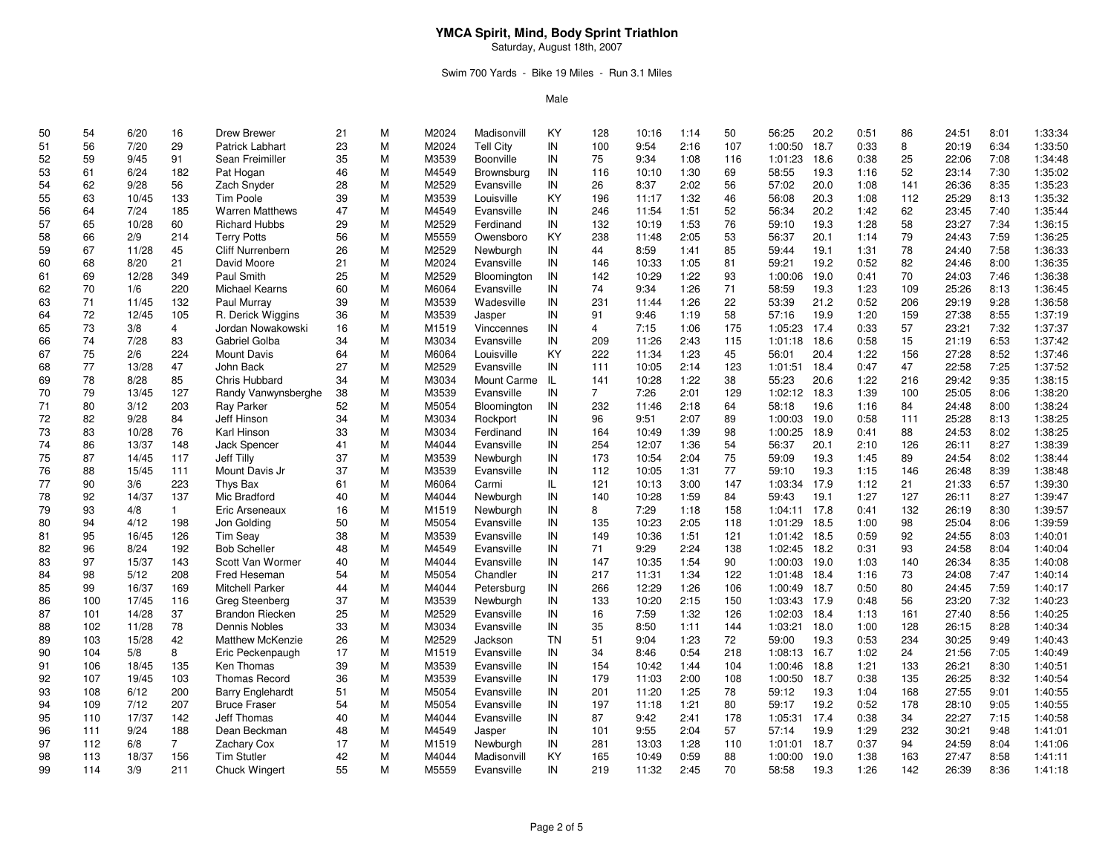Saturday, August 18th, 2007

## Swim 700 Yards - Bike 19 Miles - Run 3.1 Miles

| 50 | 54  | 6/20  | 16             | Drew Brewer             | 21 | M | M2024 | Madisonvill | KY        | 128            | 10:16 | 1:14 | 50  | 56:25   | 20.2 | 0:51 | 86  | 24:51 | 8:01 | 1:33:34 |
|----|-----|-------|----------------|-------------------------|----|---|-------|-------------|-----------|----------------|-------|------|-----|---------|------|------|-----|-------|------|---------|
| 51 | 56  | 7/20  | 29             | Patrick Labhart         | 23 | M | M2024 | Tell City   | IN        | 100            | 9:54  | 2:16 | 107 | 1:00:50 | 18.7 | 0:33 | 8   | 20:19 | 6:34 | 1:33:50 |
| 52 | 59  | 9/45  | 91             | Sean Freimiller         | 35 | M | M3539 | Boonville   | IN        | 75             | 9:34  | 1:08 | 116 | 1:01:23 | 18.6 | 0:38 | 25  | 22:06 | 7:08 | 1:34:48 |
| 53 | 61  | 6/24  | 182            | Pat Hogan               | 46 | M | M4549 | Brownsburg  | IN        | 116            | 10:10 | 1:30 | 69  | 58:55   | 19.3 | 1:16 | 52  | 23:14 | 7:30 | 1:35:02 |
| 54 | 62  | 9/28  | 56             | Zach Snyder             | 28 | M | M2529 | Evansville  | IN        | 26             | 8:37  | 2:02 | 56  | 57:02   | 20.0 | 1:08 | 141 | 26:36 | 8:35 | 1:35:23 |
| 55 | 63  | 10/45 | 133            | Tim Poole               | 39 | M | M3539 | Louisville  | KY        | 196            | 11:17 | 1:32 | 46  | 56:08   | 20.3 | 1:08 | 112 | 25:29 | 8:13 | 1:35:32 |
| 56 | 64  | 7/24  | 185            | <b>Warren Matthews</b>  | 47 | M | M4549 | Evansville  | IN        | 246            | 11:54 | 1:51 | 52  | 56:34   | 20.2 | 1:42 | 62  | 23:45 | 7:40 | 1:35:44 |
| 57 | 65  | 10/28 | 60             | <b>Richard Hubbs</b>    | 29 | M | M2529 | Ferdinand   | IN        | 132            | 10:19 | 1:53 | 76  | 59:10   | 19.3 | 1:28 | 58  | 23:27 | 7:34 | 1:36:15 |
| 58 | 66  | 2/9   | 214            | <b>Terry Potts</b>      | 56 | M | M5559 | Owensboro   | KY        | 238            | 11:48 | 2:05 | 53  | 56:37   | 20.1 | 1:14 | 79  | 24:43 | 7:59 | 1:36:25 |
| 59 | 67  | 11/28 | 45             | Cliff Nurrenbern        | 26 | M | M2529 | Newburgh    | IN        | 44             | 8:59  | 1:41 | 85  | 59:44   | 19.1 | 1:31 | 78  | 24:40 | 7:58 | 1:36:33 |
| 60 | 68  | 8/20  | 21             | David Moore             | 21 | M | M2024 | Evansville  | IN        | 146            | 10:33 | 1:05 | 81  | 59:21   | 19.2 | 0:52 | 82  | 24:46 | 8:00 | 1:36:35 |
| 61 | 69  | 12/28 | 349            | Paul Smith              | 25 | M | M2529 | Bloomington | IN        | 142            | 10:29 | 1:22 | 93  | 1:00:06 | 19.0 | 0:41 | 70  | 24:03 | 7:46 | 1:36:38 |
| 62 | 70  | 1/6   | 220            | Michael Kearns          | 60 | M | M6064 | Evansville  | IN        | 74             | 9:34  | 1:26 | 71  | 58:59   | 19.3 | 1:23 | 109 | 25:26 | 8:13 | 1:36:45 |
| 63 | 71  | 11/45 | 132            | Paul Murray             | 39 | M | M3539 | Wadesville  | IN        | 231            | 11:44 | 1:26 | 22  | 53:39   | 21.2 | 0:52 | 206 | 29:19 | 9:28 | 1:36:58 |
| 64 | 72  | 12/45 | 105            | R. Derick Wiggins       | 36 | M | M3539 | Jasper      | IN        | 91             | 9:46  | 1:19 | 58  | 57:16   | 19.9 | 1:20 | 159 | 27:38 | 8:55 | 1:37:19 |
| 65 | 73  | 3/8   | 4              | Jordan Nowakowski       | 16 | M | M1519 | Vinccennes  | IN        | $\overline{4}$ | 7:15  | 1:06 | 175 | 1:05:23 | 17.4 | 0:33 | 57  | 23:21 | 7:32 | 1:37:37 |
| 66 | 74  | 7/28  | 83             | Gabriel Golba           | 34 | M | M3034 | Evansville  | IN        | 209            | 11:26 | 2:43 | 115 | 1:01:18 | 18.6 | 0:58 | 15  | 21:19 | 6:53 | 1:37:42 |
| 67 | 75  | 2/6   | 224            | <b>Mount Davis</b>      | 64 | M | M6064 | Louisville  | KY        | 222            | 11:34 | 1:23 | 45  | 56:01   | 20.4 | 1:22 | 156 | 27:28 | 8:52 | 1:37:46 |
| 68 | 77  | 13/28 | 47             | John Back               | 27 | M | M2529 | Evansville  | IN        | 111            | 10:05 | 2:14 | 123 | 1:01:51 | 18.4 | 0:47 | 47  | 22:58 | 7:25 | 1:37:52 |
| 69 | 78  | 8/28  | 85             | Chris Hubbard           | 34 | M | M3034 | Mount Carme | -IL       | 141            | 10:28 | 1:22 | 38  | 55:23   | 20.6 | 1:22 | 216 | 29:42 | 9:35 | 1:38:15 |
| 70 | 79  | 13/45 | 127            | Randy Vanwynsberghe     | 38 | M | M3539 | Evansville  | IN        | $\overline{7}$ | 7:26  | 2:01 | 129 | 1:02:12 | 18.3 | 1:39 | 100 | 25:05 | 8:06 | 1:38:20 |
| 71 | 80  | 3/12  | 203            | Ray Parker              | 52 | M | M5054 | Bloomington | IN        | 232            | 11:46 | 2:18 | 64  | 58:18   | 19.6 | 1:16 | 84  | 24:48 | 8:00 | 1:38:24 |
| 72 | 82  | 9/28  | 84             | Jeff Hinson             | 34 | M | M3034 | Rockport    | IN        | 96             | 9:51  | 2:07 | 89  | 1:00:03 | 19.0 | 0:58 | 111 | 25:28 | 8:13 | 1:38:25 |
| 73 | 83  | 10/28 | 76             | Karl Hinson             | 33 | M | M3034 | Ferdinand   | IN        | 164            | 10:49 | 1:39 | 98  | 1:00:25 | 18.9 | 0:41 | 88  | 24:53 | 8:02 | 1:38:25 |
| 74 | 86  | 13/37 | 148            | <b>Jack Spencer</b>     | 41 | M | M4044 | Evansville  | IN        | 254            | 12:07 | 1:36 | 54  | 56:37   | 20.1 | 2:10 | 126 | 26:11 | 8:27 | 1:38:39 |
| 75 | 87  | 14/45 | 117            | Jeff Tilly              | 37 | M | M3539 | Newburgh    | IN        | 173            | 10:54 | 2:04 | 75  | 59:09   | 19.3 | 1:45 | 89  | 24:54 | 8:02 | 1:38:44 |
| 76 | 88  | 15/45 | 111            | Mount Davis Jr          | 37 | M | M3539 | Evansville  | IN        | 112            | 10:05 | 1:31 | 77  | 59:10   | 19.3 | 1:15 | 146 | 26:48 | 8:39 | 1:38:48 |
| 77 | 90  | 3/6   | 223            | Thys Bax                | 61 | M | M6064 | Carmi       | IL.       | 121            | 10:13 | 3:00 | 147 | 1:03:34 | 17.9 | 1:12 | 21  | 21:33 | 6:57 | 1:39:30 |
| 78 | 92  | 14/37 | 137            | Mic Bradford            | 40 | M | M4044 | Newburgh    | IN        | 140            | 10:28 | 1:59 | 84  | 59:43   | 19.1 | 1:27 | 127 | 26:11 | 8:27 | 1:39:47 |
| 79 | 93  | 4/8   | $\mathbf{1}$   | Eric Arseneaux          | 16 | M | M1519 | Newburgh    | IN        | 8              | 7:29  | 1:18 | 158 | 1:04:11 | 17.8 | 0:41 | 132 | 26:19 | 8:30 | 1:39:57 |
| 80 | 94  | 4/12  | 198            | Jon Golding             | 50 | M | M5054 | Evansville  | IN        | 135            | 10:23 | 2:05 | 118 | 1:01:29 | 18.5 | 1:00 | 98  | 25:04 | 8:06 | 1:39:59 |
| 81 | 95  | 16/45 | 126            | <b>Tim Seay</b>         | 38 | M | M3539 | Evansville  | IN        | 149            | 10:36 | 1:51 | 121 | 1:01:42 | 18.5 | 0:59 | 92  | 24:55 | 8:03 | 1:40:01 |
| 82 | 96  | 8/24  | 192            | <b>Bob Scheller</b>     | 48 | M | M4549 | Evansville  | IN        | 71             | 9:29  | 2:24 | 138 | 1:02:45 | 18.2 | 0:31 | 93  | 24:58 | 8:04 | 1:40:04 |
|    | 97  |       |                | Scott Van Wormer        |    | M |       |             | IN        | 147            |       | 1:54 |     |         |      |      | 140 |       | 8:35 | 1:40:08 |
| 83 |     | 15/37 | 143            |                         | 40 |   | M4044 | Evansville  |           |                | 10:35 |      | 90  | 1:00:03 | 19.0 | 1:03 |     | 26:34 |      |         |
| 84 | 98  | 5/12  | 208            | Fred Heseman            | 54 | M | M5054 | Chandler    | IN        | 217            | 11:31 | 1:34 | 122 | 1:01:48 | 18.4 | 1:16 | 73  | 24:08 | 7:47 | 1:40:14 |
| 85 | 99  | 16/37 | 169            | <b>Mitchell Parker</b>  | 44 | M | M4044 | Petersburg  | IN        | 266            | 12:29 | 1:26 | 106 | 1:00:49 | 18.7 | 0:50 | 80  | 24:45 | 7:59 | 1:40:17 |
| 86 | 100 | 17/45 | 116            | Greg Steenberg          | 37 | M | M3539 | Newburgh    | IN        | 133            | 10:20 | 2:15 | 150 | 1:03:43 | 17.9 | 0:48 | 56  | 23:20 | 7:32 | 1:40:23 |
| 87 | 101 | 14/28 | 37             | <b>Brandon Riecken</b>  | 25 | M | M2529 | Evansville  | IN        | 16             | 7:59  | 1:32 | 126 | 1:02:03 | 18.4 | 1:13 | 161 | 27:40 | 8:56 | 1:40:25 |
| 88 | 102 | 11/28 | 78             | Dennis Nobles           | 33 | M | M3034 | Evansville  | IN        | 35             | 8:50  | 1:11 | 144 | 1:03:21 | 18.0 | 1:00 | 128 | 26:15 | 8:28 | 1:40:34 |
| 89 | 103 | 15/28 | 42             | <b>Matthew McKenzie</b> | 26 | M | M2529 | Jackson     | <b>TN</b> | 51             | 9:04  | 1:23 | 72  | 59:00   | 19.3 | 0:53 | 234 | 30:25 | 9:49 | 1:40:43 |
| 90 | 104 | 5/8   | 8              | Eric Peckenpaugh        | 17 | M | M1519 | Evansville  | IN        | 34             | 8:46  | 0:54 | 218 | 1:08:13 | 16.7 | 1:02 | 24  | 21:56 | 7:05 | 1:40:49 |
| 91 | 106 | 18/45 | 135            | Ken Thomas              | 39 | M | M3539 | Evansville  | IN        | 154            | 10:42 | 1:44 | 104 | 1:00:46 | 18.8 | 1:21 | 133 | 26:21 | 8:30 | 1:40:51 |
| 92 | 107 | 19/45 | 103            | <b>Thomas Record</b>    | 36 | M | M3539 | Evansville  | IN        | 179            | 11:03 | 2:00 | 108 | 1:00:50 | 18.7 | 0:38 | 135 | 26:25 | 8:32 | 1:40:54 |
| 93 | 108 | 6/12  | 200            | <b>Barry Englehardt</b> | 51 | M | M5054 | Evansville  | IN        | 201            | 11:20 | 1:25 | 78  | 59:12   | 19.3 | 1:04 | 168 | 27:55 | 9:01 | 1:40:55 |
| 94 | 109 | 7/12  | 207            | <b>Bruce Fraser</b>     | 54 | M | M5054 | Evansville  | IN        | 197            | 11:18 | 1:21 | 80  | 59:17   | 19.2 | 0:52 | 178 | 28:10 | 9:05 | 1:40:55 |
| 95 | 110 | 17/37 | 142            | Jeff Thomas             | 40 | M | M4044 | Evansville  | IN        | 87             | 9:42  | 2:41 | 178 | 1:05:31 | 17.4 | 0:38 | 34  | 22:27 | 7:15 | 1:40:58 |
| 96 | 111 | 9/24  | 188            | Dean Beckman            | 48 | M | M4549 | Jasper      | IN        | 101            | 9:55  | 2:04 | 57  | 57:14   | 19.9 | 1:29 | 232 | 30:21 | 9:48 | 1:41:01 |
| 97 | 112 | 6/8   | $\overline{7}$ | Zachary Cox             | 17 | M | M1519 | Newburgh    | IN        | 281            | 13:03 | 1:28 | 110 | 1:01:01 | 18.7 | 0:37 | 94  | 24:59 | 8:04 | 1:41:06 |
| 98 | 113 | 18/37 | 156            | <b>Tim Stutler</b>      | 42 | M | M4044 | Madisonvill | KY        | 165            | 10:49 | 0:59 | 88  | 1:00:00 | 19.0 | 1:38 | 163 | 27:47 | 8:58 | 1:41:11 |
| 99 | 114 | 3/9   | 211            | <b>Chuck Wingert</b>    | 55 | M | M5559 | Evansville  | IN        | 219            | 11:32 | 2:45 | 70  | 58:58   | 19.3 | 1:26 | 142 | 26:39 | 8:36 | 1:41:18 |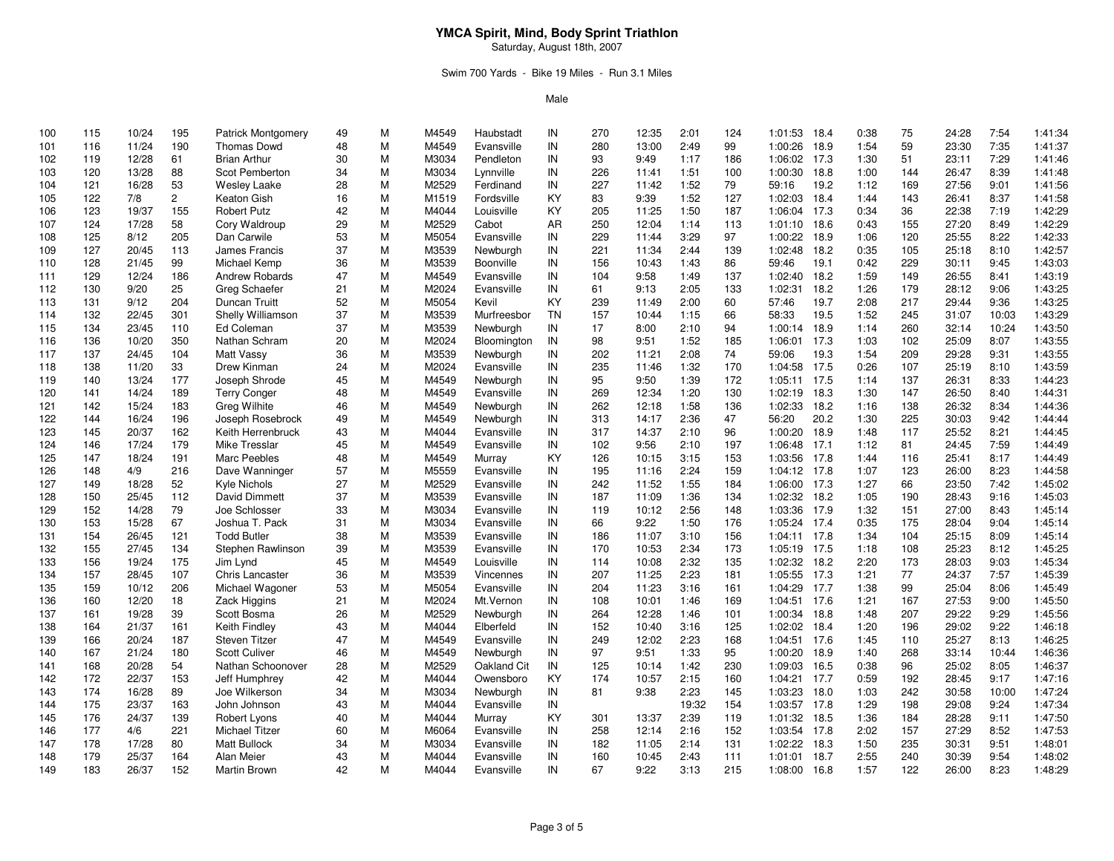Saturday, August 18th, 2007

## Swim 700 Yards - Bike 19 Miles - Run 3.1 Miles

| 100 | 115 | 10/24 | 195            | <b>Patrick Montgomery</b> | 49 | М | M4549 | Haubstadt   | IN | 270 | 12:35 | 2:01  | 124 | 1:01:53      | 18.4 | 0:38 | 75  | 24:28 | 7:54  | 1:41:34 |
|-----|-----|-------|----------------|---------------------------|----|---|-------|-------------|----|-----|-------|-------|-----|--------------|------|------|-----|-------|-------|---------|
| 101 | 116 | 11/24 | 190            | <b>Thomas Dowd</b>        | 48 | M | M4549 | Evansville  | IN | 280 | 13:00 | 2:49  | 99  | 1:00:26      | 18.9 | 1:54 | 59  | 23:30 | 7:35  | 1:41:37 |
| 102 | 119 | 12/28 | 61             | <b>Brian Arthur</b>       | 30 | M | M3034 | Pendleton   | IN | 93  | 9:49  | 1:17  | 186 | 1:06:02      | 17.3 | 1:30 | 51  | 23:11 | 7:29  | 1:41:46 |
| 103 | 120 | 13/28 | 88             | Scot Pemberton            | 34 | M | M3034 | Lynnville   | IN | 226 | 11:41 | 1:51  | 100 | 1:00:30      | 18.8 | 1:00 | 144 | 26:47 | 8:39  | 1:41:48 |
| 104 | 121 | 16/28 | 53             | <b>Wesley Laake</b>       | 28 | M | M2529 | Ferdinand   | IN | 227 | 11:42 | 1:52  | 79  | 59:16        | 19.2 | 1:12 | 169 | 27:56 | 9:01  | 1:41:56 |
| 105 | 122 | 7/8   | $\overline{2}$ | Keaton Gish               | 16 | M | M1519 | Fordsville  | KY | 83  | 9:39  | 1:52  | 127 | 1:02:03      | 18.4 | 1:44 | 143 | 26:41 | 8:37  | 1:41:58 |
| 106 | 123 | 19/37 | 155            | <b>Robert Putz</b>        | 42 | M | M4044 | Louisville  | KY | 205 | 11:25 | 1:50  | 187 | 1:06:04      | 17.3 | 0:34 | 36  | 22:38 | 7:19  | 1:42:29 |
| 107 | 124 | 17/28 | 58             | Cory Waldroup             | 29 | M | M2529 | Cabot       | AR | 250 | 12:04 | 1:14  | 113 | 1:01:10      | 18.6 | 0:43 | 155 | 27:20 | 8:49  | 1:42:29 |
| 108 | 125 | 8/12  | 205            | Dan Carwile               | 53 | M | M5054 | Evansville  | IN | 229 | 11:44 | 3:29  | 97  | 1:00:22      | 18.9 | 1:06 | 120 | 25:55 | 8:22  | 1:42:33 |
| 109 | 127 | 20/45 | 113            | James Francis             | 37 | M | M3539 | Newburgh    | IN | 221 | 11:34 | 2:44  | 139 | 1:02:48      | 18.2 | 0:35 | 105 | 25:18 | 8:10  | 1:42:57 |
| 110 | 128 | 21/45 | 99             | Michael Kemp              | 36 | M | M3539 | Boonville   | IN | 156 | 10:43 | 1:43  | 86  | 59:46        | 19.1 | 0:42 | 229 | 30:11 | 9:45  | 1:43:03 |
| 111 | 129 | 12/24 | 186            | Andrew Robards            | 47 | M | M4549 | Evansville  | IN | 104 | 9:58  | 1:49  | 137 | 1:02:40      | 18.2 | 1:59 | 149 | 26:55 | 8:41  | 1:43:19 |
| 112 | 130 | 9/20  | 25             | Greg Schaefer             | 21 | M | M2024 | Evansville  | IN | 61  | 9:13  | 2:05  | 133 | 1:02:31      | 18.2 | 1:26 | 179 | 28:12 | 9:06  | 1:43:25 |
| 113 | 131 | 9/12  | 204            | Duncan Truitt             | 52 | M | M5054 | Kevil       | KY | 239 | 11:49 | 2:00  | 60  | 57:46        | 19.7 | 2:08 | 217 | 29:44 | 9:36  | 1:43:25 |
| 114 | 132 | 22/45 | 301            | Shelly Williamson         | 37 | M | M3539 | Murfreesbor | TN | 157 | 10:44 | 1:15  | 66  | 58:33        | 19.5 | 1:52 | 245 | 31:07 | 10:03 | 1:43:29 |
| 115 | 134 | 23/45 | 110            | Ed Coleman                | 37 | M | M3539 | Newburgh    | IN | 17  | 8:00  | 2:10  | 94  | 1:00:14      | 18.9 | 1:14 | 260 | 32:14 | 10:24 | 1:43:50 |
| 116 | 136 | 10/20 | 350            | Nathan Schram             | 20 | M | M2024 | Bloomington | IN | 98  | 9:51  | 1:52  | 185 | 1:06:01      | 17.3 | 1:03 | 102 | 25:09 | 8:07  | 1:43:55 |
| 117 | 137 | 24/45 | 104            | Matt Vassy                | 36 | M | M3539 | Newburgh    | IN | 202 | 11:21 | 2:08  | 74  | 59:06        | 19.3 | 1:54 | 209 | 29:28 | 9:31  | 1:43:55 |
| 118 | 138 | 11/20 | 33             | Drew Kinman               | 24 | M | M2024 | Evansville  | IN | 235 | 11:46 | 1:32  | 170 | 1:04:58      | 17.5 | 0:26 | 107 | 25:19 | 8:10  | 1:43:59 |
| 119 | 140 | 13/24 | 177            | Joseph Shrode             | 45 | M | M4549 | Newburgh    | IN | 95  | 9:50  | 1:39  | 172 | 1:05:11      | 17.5 | 1:14 | 137 | 26:31 | 8:33  | 1:44:23 |
| 120 | 141 | 14/24 | 189            | <b>Terry Conger</b>       | 48 | M | M4549 | Evansville  | IN | 269 | 12:34 | 1:20  | 130 | 1:02:19      | 18.3 | 1:30 | 147 | 26:50 | 8:40  | 1:44:31 |
| 121 | 142 | 15/24 | 183            | Greg Wilhite              | 46 | M | M4549 | Newburgh    | IN | 262 | 12:18 | 1:58  | 136 | 1:02:33      | 18.2 | 1:16 | 138 | 26:32 | 8:34  | 1:44:36 |
| 122 | 144 | 16/24 | 196            | Joseph Rosebrock          | 49 | M | M4549 | Newburgh    | IN | 313 | 14:17 | 2:36  | 47  | 56:20        | 20.2 | 1:30 | 225 | 30:03 | 9:42  | 1:44:44 |
| 123 | 145 | 20/37 | 162            | Keith Herrenbruck         | 43 | M | M4044 | Evansville  | IN | 317 | 14:37 | 2:10  | 96  | 1:00:20      | 18.9 | 1:48 | 117 | 25:52 | 8:21  | 1:44:45 |
| 124 | 146 | 17/24 | 179            | Mike Tresslar             | 45 | M | M4549 | Evansville  | IN | 102 | 9:56  | 2:10  | 197 | 1:06:48      | 17.1 | 1:12 | 81  | 24:45 | 7:59  | 1:44:49 |
| 125 | 147 | 18/24 | 191            | <b>Marc Peebles</b>       | 48 | M | M4549 | Murray      | KY | 126 | 10:15 | 3:15  | 153 | 1:03:56      | 17.8 | 1:44 | 116 | 25:41 | 8:17  | 1:44:49 |
| 126 | 148 | 4/9   | 216            | Dave Wanninger            | 57 | M | M5559 | Evansville  | IN | 195 | 11:16 | 2:24  | 159 | 1:04:12 17.8 |      | 1:07 | 123 | 26:00 | 8:23  | 1:44:58 |
| 127 | 149 | 18/28 | 52             | Kyle Nichols              | 27 | M | M2529 | Evansville  | IN | 242 | 11:52 | 1:55  | 184 | 1:06:00      | 17.3 | 1:27 | 66  | 23:50 | 7:42  | 1:45:02 |
| 128 | 150 | 25/45 | 112            | David Dimmett             | 37 | M | M3539 | Evansville  | IN | 187 | 11:09 | 1:36  | 134 | 1:02:32      | 18.2 | 1:05 | 190 | 28:43 | 9:16  | 1:45:03 |
| 129 | 152 | 14/28 | 79             | Joe Schlosser             | 33 | M | M3034 | Evansville  | IN | 119 | 10:12 | 2:56  | 148 | 1:03:36      | 17.9 | 1:32 | 151 | 27:00 | 8:43  | 1:45:14 |
| 130 | 153 | 15/28 | 67             | Joshua T. Pack            | 31 | M | M3034 | Evansville  | IN | 66  | 9:22  | 1:50  | 176 | 1:05:24 17.4 |      | 0:35 | 175 | 28:04 | 9:04  | 1:45:14 |
| 131 | 154 | 26/45 | 121            | <b>Todd Butler</b>        | 38 | M | M3539 | Evansville  | IN | 186 | 11:07 | 3:10  | 156 | 1:04:11 17.8 |      | 1:34 | 104 | 25:15 | 8:09  | 1:45:14 |
| 132 | 155 | 27/45 | 134            | Stephen Rawlinson         | 39 | M | M3539 | Evansville  | IN | 170 | 10:53 | 2:34  | 173 | 1:05:19      | 17.5 | 1:18 | 108 | 25:23 | 8:12  | 1:45:25 |
| 133 | 156 | 19/24 | 175            | Jim Lynd                  | 45 | M | M4549 | Louisville  | IN | 114 | 10:08 | 2:32  | 135 | 1:02:32      | 18.2 | 2:20 | 173 | 28:03 | 9:03  | 1:45:34 |
| 134 | 157 | 28/45 | 107            | Chris Lancaster           | 36 | M | M3539 | Vincennes   | IN | 207 | 11:25 | 2:23  | 181 | 1:05:55      | 17.3 | 1:21 | 77  | 24:37 | 7:57  | 1:45:39 |
| 135 | 159 | 10/12 | 206            | Michael Wagoner           | 53 | M | M5054 | Evansville  | IN | 204 | 11:23 | 3:16  | 161 | 1:04:29      | 17.7 | 1:38 | 99  | 25:04 | 8:06  | 1:45:49 |
| 136 | 160 | 12/20 | 18             | Zack Higgins              | 21 | M | M2024 | Mt. Vernon  | IN | 108 | 10:01 | 1:46  | 169 | 1:04:51 17.6 |      | 1:21 | 167 | 27:53 | 9:00  | 1:45:50 |
| 137 | 161 | 19/28 | 39             | Scott Bosma               | 26 | M | M2529 | Newburgh    | IN | 264 | 12:28 | 1:46  | 101 | 1:00:34      | 18.8 | 1:48 | 207 | 29:22 | 9:29  | 1:45:56 |
| 138 | 164 | 21/37 | 161            | Keith Findley             | 43 | M | M4044 | Elberfeld   | IN | 152 | 10:40 | 3:16  | 125 | 1:02:02      | 18.4 | 1:20 | 196 | 29:02 | 9:22  | 1:46:18 |
| 139 | 166 | 20/24 | 187            | Steven Titzer             | 47 | M | M4549 | Evansville  | IN | 249 | 12:02 | 2:23  | 168 | 1:04:51      | 17.6 | 1:45 | 110 | 25:27 | 8:13  | 1:46:25 |
| 140 | 167 | 21/24 | 180            | <b>Scott Culiver</b>      | 46 | M | M4549 | Newburgh    | IN | 97  | 9:51  | 1:33  | 95  | 1:00:20      | 18.9 | 1:40 | 268 | 33:14 | 10:44 | 1:46:36 |
| 141 | 168 | 20/28 | 54             | Nathan Schoonover         | 28 | M | M2529 | Oakland Cit | IN | 125 | 10:14 | 1:42  | 230 | 1:09:03      | 16.5 | 0:38 | 96  | 25:02 | 8:05  | 1:46:37 |
| 142 | 172 | 22/37 | 153            | Jeff Humphrey             | 42 | M | M4044 | Owensboro   | KY | 174 | 10:57 | 2:15  | 160 | 1:04:21 17.7 |      | 0:59 | 192 | 28:45 | 9:17  | 1:47:16 |
| 143 | 174 | 16/28 | 89             | Joe Wilkerson             | 34 | M | M3034 | Newburgh    | IN | 81  | 9:38  | 2:23  | 145 | 1:03:23      | 18.0 | 1:03 | 242 | 30:58 | 10:00 | 1:47:24 |
| 144 | 175 | 23/37 | 163            | John Johnson              | 43 | M | M4044 | Evansville  | IN |     |       | 19:32 | 154 | 1:03:57      | 17.8 | 1:29 | 198 | 29:08 | 9:24  | 1:47:34 |
| 145 | 176 | 24/37 | 139            | Robert Lyons              | 40 | M | M4044 | Murray      | KY | 301 | 13:37 | 2:39  | 119 | 1:01:32      | 18.5 | 1:36 | 184 | 28:28 | 9:11  | 1:47:50 |
| 146 | 177 | 4/6   | 221            | <b>Michael Titzer</b>     | 60 | M | M6064 | Evansville  | IN | 258 | 12:14 | 2:16  | 152 | 1:03:54 17.8 |      | 2:02 | 157 | 27:29 | 8:52  | 1:47:53 |
| 147 | 178 | 17/28 | 80             | <b>Matt Bullock</b>       | 34 | M | M3034 | Evansville  | IN | 182 | 11:05 | 2:14  | 131 | 1:02:22      | 18.3 | 1:50 | 235 | 30:31 | 9:51  | 1:48:01 |
| 148 | 179 | 25/37 | 164            | Alan Meier                | 43 | M | M4044 | Evansville  | IN | 160 | 10:45 | 2:43  | 111 | 1:01:01      | 18.7 | 2:55 | 240 | 30:39 | 9:54  | 1:48:02 |
| 149 | 183 | 26/37 | 152            |                           | 42 | M | M4044 |             | IN | 67  | 9:22  | 3:13  | 215 |              | 16.8 | 1:57 | 122 | 26:00 | 8:23  | 1:48:29 |
|     |     |       |                | Martin Brown              |    |   |       | Evansville  |    |     |       |       |     | 1:08:00      |      |      |     |       |       |         |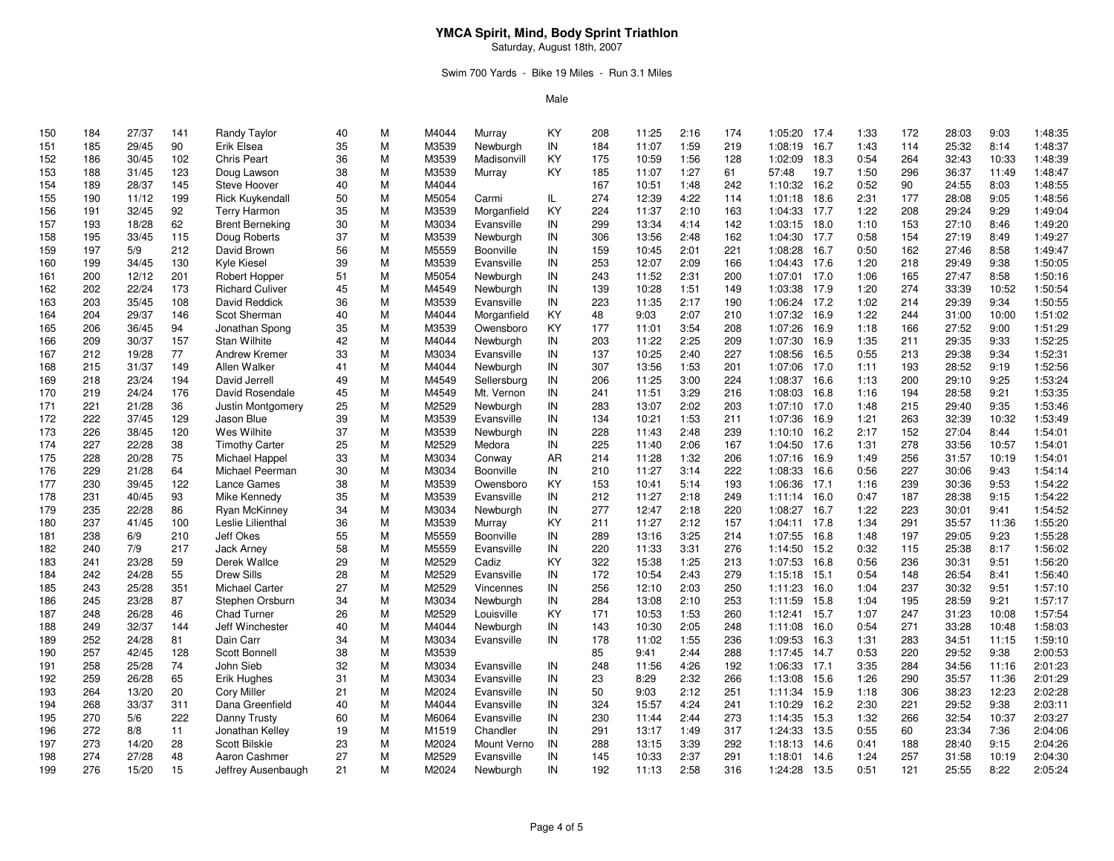Saturday, August 18th, 2007

## Swim 700 Yards - Bike 19 Miles - Run 3.1 Miles

| 150 | 184 | 27/37 | 141 | Randy Taylor           | 40 | M | M4044 | Murray      | KY  | 208 | 11:25 | 2:16 | 174 | 1:05:20      | 17.4 | 1:33 | 172 | 28:03 | 9:03  | 1:48:35 |
|-----|-----|-------|-----|------------------------|----|---|-------|-------------|-----|-----|-------|------|-----|--------------|------|------|-----|-------|-------|---------|
| 151 | 185 | 29/45 | 90  | Erik Elsea             | 35 | M | M3539 | Newburgh    | IN  | 184 | 11:07 | 1:59 | 219 | 1:08:19      | 16.7 | 1:43 | 114 | 25:32 | 8:14  | 1:48:37 |
| 152 | 186 | 30/45 | 102 | <b>Chris Peart</b>     | 36 | M | M3539 | Madisonvill | KY  | 175 | 10:59 | 1:56 | 128 | 1:02:09      | 18.3 | 0:54 | 264 | 32:43 | 10:33 | 1:48:39 |
| 153 | 188 | 31/45 | 123 | Doug Lawson            | 38 | M | M3539 | Murray      | KY  | 185 | 11:07 | 1:27 | 61  | 57:48        | 19.7 | 1:50 | 296 | 36:37 | 11:49 | 1:48:47 |
| 154 | 189 | 28/37 | 145 | Steve Hoover           | 40 | M | M4044 |             |     | 167 | 10:51 | 1:48 | 242 | 1:10:32      | 16.2 | 0:52 | 90  | 24:55 | 8:03  | 1:48:55 |
| 155 | 190 | 11/12 | 199 | <b>Rick Kuykendall</b> | 50 | M | M5054 | Carmi       | IL. | 274 | 12:39 | 4:22 | 114 | 1:01:18      | 18.6 | 2:31 | 177 | 28:08 | 9:05  | 1:48:56 |
| 156 | 191 | 32/45 | 92  | <b>Terry Harmon</b>    | 35 | M | M3539 | Morganfield | KY  | 224 | 11:37 | 2:10 | 163 | 1:04:33      | 17.7 | 1:22 | 208 | 29:24 | 9:29  | 1:49:04 |
| 157 | 193 | 18/28 | 62  | <b>Brent Berneking</b> | 30 | M | M3034 | Evansville  | IN  | 299 | 13:34 | 4:14 | 142 | 1:03:15      | 18.0 | 1:10 | 153 | 27:10 | 8:46  | 1:49:20 |
| 158 | 195 | 33/45 | 115 | Doug Roberts           | 37 | M | M3539 | Newburgh    | IN  | 306 | 13:56 | 2:48 | 162 | 1:04:30      | 17.7 | 0:58 | 154 | 27:19 | 8:49  | 1:49:27 |
| 159 | 197 | 5/9   | 212 | David Brown            | 56 | M | M5559 | Boonville   | IN  | 159 | 10:45 | 2:01 | 221 | 1:08:28      | 16.7 | 0:50 | 162 | 27:46 | 8:58  | 1:49:47 |
| 160 | 199 | 34/45 | 130 | Kyle Kiesel            | 39 | M | M3539 | Evansville  | IN  | 253 | 12:07 | 2:09 | 166 | 1:04:43      | 17.6 | 1:20 | 218 | 29:49 | 9:38  | 1:50:05 |
| 161 | 200 | 12/12 | 201 | Robert Hopper          | 51 | M | M5054 | Newburgh    | IN  | 243 | 11:52 | 2:31 | 200 | 1:07:01      | 17.0 | 1:06 | 165 | 27:47 | 8:58  | 1:50:16 |
| 162 | 202 | 22/24 | 173 | <b>Richard Culiver</b> | 45 | M | M4549 | Newburgh    | IN  | 139 | 10:28 | 1:51 | 149 | 1:03:38      | 17.9 | 1:20 | 274 | 33:39 | 10:52 | 1:50:54 |
| 163 | 203 | 35/45 | 108 | David Reddick          | 36 | M | M3539 | Evansville  | IN  | 223 | 11:35 | 2:17 | 190 | 1:06:24      | 17.2 | 1:02 | 214 | 29:39 | 9:34  | 1:50:55 |
| 164 | 204 | 29/37 | 146 | Scot Sherman           | 40 | M | M4044 | Morganfield | KY  | 48  | 9:03  | 2:07 | 210 | 1:07:32      | 16.9 | 1:22 | 244 | 31:00 | 10:00 | 1:51:02 |
| 165 | 206 | 36/45 | 94  | Jonathan Spong         | 35 | M | M3539 | Owensboro   | KY  | 177 | 11:01 | 3:54 | 208 | 1:07:26      | 16.9 | 1:18 | 166 | 27:52 | 9:00  | 1:51:29 |
| 166 | 209 | 30/37 | 157 | <b>Stan Wilhite</b>    | 42 | M | M4044 | Newburgh    | IN  | 203 | 11:22 | 2:25 | 209 | 1:07:30      | 16.9 | 1:35 | 211 | 29:35 | 9:33  | 1:52:25 |
| 167 | 212 | 19/28 | 77  | Andrew Kremer          | 33 | M | M3034 | Evansville  | IN  | 137 | 10:25 | 2:40 | 227 | 1:08:56      | 16.5 | 0:55 | 213 | 29:38 | 9:34  | 1:52:31 |
| 168 | 215 | 31/37 | 149 | Allen Walker           | 41 | M | M4044 | Newburgh    | IN  | 307 | 13:56 | 1:53 | 201 | 1:07:06      | 17.0 | 1:11 | 193 | 28:52 | 9:19  | 1:52:56 |
| 169 | 218 | 23/24 | 194 | David Jerrell          | 49 | M | M4549 | Sellersburg | IN  | 206 | 11:25 | 3:00 | 224 | 1:08:37      | 16.6 | 1:13 | 200 | 29:10 | 9:25  | 1:53:24 |
| 170 | 219 | 24/24 | 176 | David Rosendale        | 45 | M | M4549 | Mt. Vernon  | IN  | 241 | 11:51 | 3:29 | 216 | 1:08:03      | 16.8 | 1:16 | 194 | 28:58 | 9:21  | 1:53:35 |
| 171 | 221 | 21/28 | 36  | Justin Montgomery      | 25 | M | M2529 | Newburgh    | IN  | 283 | 13:07 | 2:02 | 203 | 1:07:10      | 17.0 | 1:48 | 215 | 29:40 | 9:35  | 1:53:46 |
| 172 | 222 | 37/45 | 129 | Jason Blue             | 39 | M | M3539 | Evansville  | IN  | 134 | 10:21 | 1:53 | 211 | 1:07:36      | 16.9 | 1:21 | 263 | 32:39 | 10:32 | 1:53:49 |
| 173 | 226 | 38/45 | 120 | Wes Wilhite            | 37 | M | M3539 | Newburgh    | IN  | 228 | 11:43 | 2:48 | 239 | 1:10:10      | 16.2 | 2:17 | 152 | 27:04 | 8:44  | 1:54:01 |
| 174 | 227 | 22/28 | 38  | <b>Timothy Carter</b>  | 25 | M | M2529 | Medora      | IN  | 225 | 11:40 | 2:06 | 167 | 1:04:50      | 17.6 | 1:31 | 278 | 33:56 | 10:57 | 1:54:01 |
| 175 | 228 | 20/28 | 75  | Michael Happel         | 33 | M | M3034 | Conway      | AR  | 214 | 11:28 | 1:32 | 206 | 1:07:16      | 16.9 | 1:49 | 256 | 31:57 | 10:19 | 1:54:01 |
| 176 | 229 | 21/28 | 64  | Michael Peerman        | 30 | M | M3034 | Boonville   | IN  | 210 | 11:27 | 3:14 | 222 | 1:08:33      | 16.6 | 0:56 | 227 | 30:06 | 9:43  | 1:54:14 |
| 177 | 230 | 39/45 | 122 | Lance Games            | 38 | M | M3539 | Owensboro   | KY  | 153 | 10:41 | 5:14 | 193 | 1:06:36      | 17.1 | 1:16 | 239 | 30:36 | 9:53  | 1:54:22 |
|     |     |       |     | Mike Kennedy           |    | M | M3539 | Evansville  | IN  | 212 | 11:27 |      | 249 | 1:11:14 16.0 |      | 0:47 | 187 | 28:38 |       | 1:54:22 |
| 178 | 231 | 40/45 | 93  |                        | 35 |   |       |             |     |     |       | 2:18 |     |              |      |      |     |       | 9:15  | 1:54:52 |
| 179 | 235 | 22/28 | 86  | Ryan McKinney          | 34 | M | M3034 | Newburgh    | IN  | 277 | 12:47 | 2:18 | 220 | 1:08:27      | 16.7 | 1:22 | 223 | 30:01 | 9:41  |         |
| 180 | 237 | 41/45 | 100 | Leslie Lilienthal      | 36 | M | M3539 | Murray      | KY  | 211 | 11:27 | 2:12 | 157 | 1:04:11      | 17.8 | 1:34 | 291 | 35:57 | 11:36 | 1:55:20 |
| 181 | 238 | 6/9   | 210 | Jeff Okes              | 55 | M | M5559 | Boonville   | IN  | 289 | 13:16 | 3:25 | 214 | 1:07:55      | 16.8 | 1:48 | 197 | 29:05 | 9:23  | 1:55:28 |
| 182 | 240 | 7/9   | 217 | <b>Jack Arnev</b>      | 58 | M | M5559 | Evansville  | IN  | 220 | 11:33 | 3:31 | 276 | 1:14:50      | 15.2 | 0:32 | 115 | 25:38 | 8:17  | 1:56:02 |
| 183 | 241 | 23/28 | 59  | Derek Wallce           | 29 | M | M2529 | Cadiz       | KY  | 322 | 15:38 | 1:25 | 213 | 1:07:53      | 16.8 | 0:56 | 236 | 30:31 | 9:51  | 1:56:20 |
| 184 | 242 | 24/28 | 55  | <b>Drew Sills</b>      | 28 | M | M2529 | Evansville  | IN  | 172 | 10:54 | 2:43 | 279 | 1:15:18      | 15.1 | 0:54 | 148 | 26:54 | 8:41  | 1:56:40 |
| 185 | 243 | 25/28 | 351 | <b>Michael Carter</b>  | 27 | M | M2529 | Vincennes   | IN  | 256 | 12:10 | 2:03 | 250 | 1:11:23      | 16.0 | 1:04 | 237 | 30:32 | 9:51  | 1:57:10 |
| 186 | 245 | 23/28 | 87  | Stephen Orsburn        | 34 | M | M3034 | Newburgh    | IN  | 284 | 13:08 | 2:10 | 253 | 1:11:59      | 15.8 | 1:04 | 195 | 28:59 | 9:21  | 1:57:17 |
| 187 | 248 | 26/28 | 46  | <b>Chad Turner</b>     | 26 | M | M2529 | Louisville  | KY  | 171 | 10:53 | 1:53 | 260 | 1:12:41      | 15.7 | 1:07 | 247 | 31:23 | 10:08 | 1:57:54 |
| 188 | 249 | 32/37 | 144 | Jeff Winchester        | 40 | M | M4044 | Newburgh    | IN  | 143 | 10:30 | 2:05 | 248 | 1:11:08      | 16.0 | 0:54 | 271 | 33:28 | 10:48 | 1:58:03 |
| 189 | 252 | 24/28 | 81  | Dain Carr              | 34 | M | M3034 | Evansville  | IN  | 178 | 11:02 | 1:55 | 236 | 1:09:53      | 16.3 | 1:31 | 283 | 34:51 | 11:15 | 1:59:10 |
| 190 | 257 | 42/45 | 128 | Scott Bonnell          | 38 | M | M3539 |             |     | 85  | 9:41  | 2:44 | 288 | 1:17:45      | 14.7 | 0:53 | 220 | 29:52 | 9:38  | 2:00:53 |
| 191 | 258 | 25/28 | 74  | John Sieb              | 32 | M | M3034 | Evansville  | IN  | 248 | 11:56 | 4:26 | 192 | 1:06:33      | 17.1 | 3:35 | 284 | 34:56 | 11:16 | 2:01:23 |
| 192 | 259 | 26/28 | 65  | <b>Erik Hughes</b>     | 31 | M | M3034 | Evansville  | IN  | 23  | 8:29  | 2:32 | 266 | 1:13:08      | 15.6 | 1:26 | 290 | 35:57 | 11:36 | 2:01:29 |
| 193 | 264 | 13/20 | 20  | <b>Cory Miller</b>     | 21 | M | M2024 | Evansville  | IN  | 50  | 9:03  | 2:12 | 251 | 1:11:34      | 15.9 | 1:18 | 306 | 38:23 | 12:23 | 2:02:28 |
| 194 | 268 | 33/37 | 311 | Dana Greenfield        | 40 | M | M4044 | Evansville  | IN  | 324 | 15:57 | 4:24 | 241 | 1:10:29      | 16.2 | 2:30 | 221 | 29:52 | 9:38  | 2:03:11 |
| 195 | 270 | 5/6   | 222 | Danny Trusty           | 60 | M | M6064 | Evansville  | IN  | 230 | 11:44 | 2:44 | 273 | 1:14:35      | 15.3 | 1:32 | 266 | 32:54 | 10:37 | 2:03:27 |
| 196 | 272 | 8/8   | 11  | Jonathan Kelley        | 19 | M | M1519 | Chandler    | IN  | 291 | 13:17 | 1:49 | 317 | 1:24:33      | 13.5 | 0:55 | 60  | 23:34 | 7:36  | 2:04:06 |
| 197 | 273 | 14/20 | 28  | <b>Scott Bilskie</b>   | 23 | M | M2024 | Mount Verno | IN  | 288 | 13:15 | 3:39 | 292 | 1:18:13      | 14.6 | 0:41 | 188 | 28:40 | 9:15  | 2:04:26 |
| 198 | 274 | 27/28 | 48  | Aaron Cashmer          | 27 | M | M2529 | Evansville  | IN  | 145 | 10:33 | 2:37 | 291 | 1:18:01      | 14.6 | 1:24 | 257 | 31:58 | 10:19 | 2:04:30 |
| 199 | 276 | 15/20 | 15  | Jeffrey Ausenbaugh     | 21 | M | M2024 | Newburgh    | IN  | 192 | 11:13 | 2:58 | 316 | 1:24:28      | 13.5 | 0:51 | 121 | 25:55 | 8:22  | 2:05:24 |
|     |     |       |     |                        |    |   |       |             |     |     |       |      |     |              |      |      |     |       |       |         |